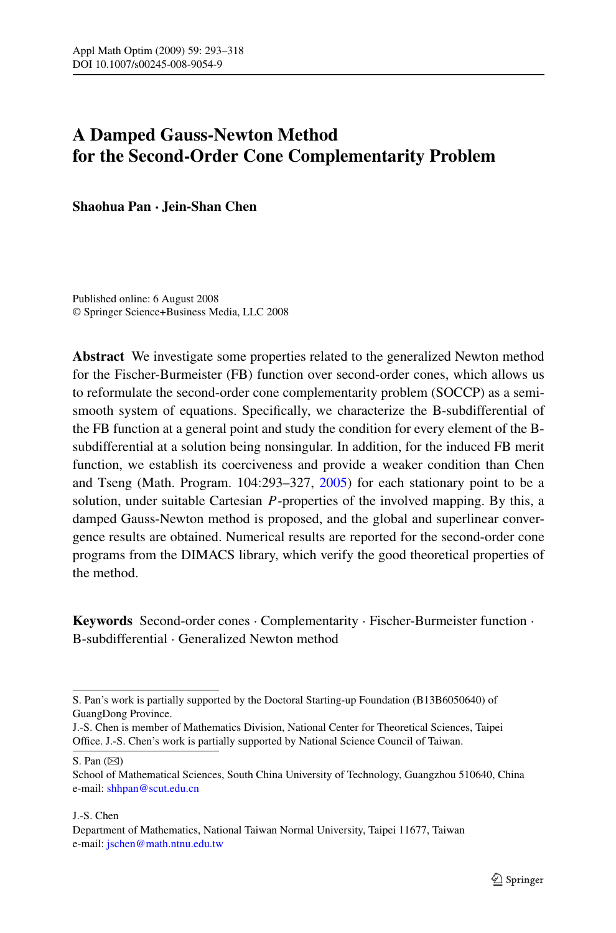# **A Damped Gauss-Newton Method for the Second-Order Cone Complementarity Problem**

**Shaohua Pan · Jein-Shan Chen**

Published online: 6 August 2008 © Springer Science+Business Media, LLC 2008

**Abstract** We investigate some properties related to the generalized Newton method for the Fischer-Burmeister (FB) function over second-order cones, which allows us to reformulate the second-order cone complementarity problem (SOCCP) as a semismooth system of equations. Specifically, we characterize the B-subdifferential of the FB function at a general point and study the condition for every element of the Bsubdifferential at a solution being nonsingular. In addition, for the induced FB merit function, we establish its coerciveness and provide a weaker condition than Chen and Tseng (Math. Program. 104:293–327, [2005\)](#page-24-0) for each stationary point to be a solution, under suitable Cartesian *P*-properties of the involved mapping. By this, a damped Gauss-Newton method is proposed, and the global and superlinear convergence results are obtained. Numerical results are reported for the second-order cone programs from the DIMACS library, which verify the good theoretical properties of the method.

**Keywords** Second-order cones · Complementarity · Fischer-Burmeister function · B-subdifferential · Generalized Newton method

S. Pan  $(\boxtimes)$ 

#### J.-S. Chen

S. Pan's work is partially supported by the Doctoral Starting-up Foundation (B13B6050640) of GuangDong Province.

J.-S. Chen is member of Mathematics Division, National Center for Theoretical Sciences, Taipei Office. J.-S. Chen's work is partially supported by National Science Council of Taiwan.

School of Mathematical Sciences, South China University of Technology, Guangzhou 510640, China e-mail: [shhpan@scut.edu.cn](mailto:shhpan@scut.edu.cn)

Department of Mathematics, National Taiwan Normal University, Taipei 11677, Taiwan e-mail: [jschen@math.ntnu.edu.tw](mailto:jschen@math.ntnu.edu.tw)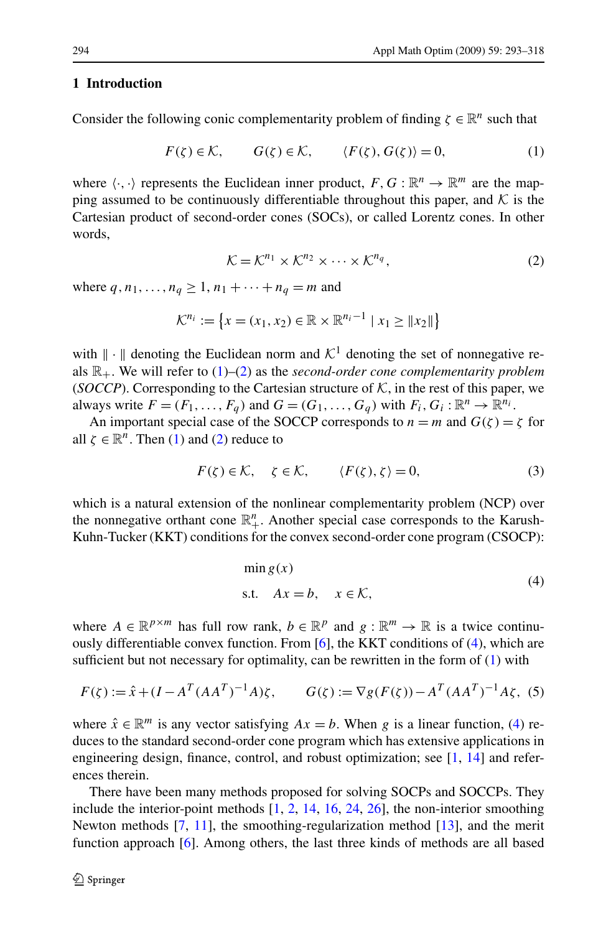#### <span id="page-1-0"></span>**1 Introduction**

Consider the following conic complementarity problem of finding  $\zeta \in \mathbb{R}^n$  such that

$$
F(\zeta) \in \mathcal{K}, \qquad G(\zeta) \in \mathcal{K}, \qquad \langle F(\zeta), G(\zeta) \rangle = 0, \tag{1}
$$

where  $\langle \cdot, \cdot \rangle$  represents the Euclidean inner product,  $F, G : \mathbb{R}^n \to \mathbb{R}^m$  are the mapping assumed to be continuously differentiable throughout this paper, and  $K$  is the Cartesian product of second-order cones (SOCs), or called Lorentz cones. In other words,

$$
\mathcal{K} = \mathcal{K}^{n_1} \times \mathcal{K}^{n_2} \times \cdots \times \mathcal{K}^{n_q},\tag{2}
$$

where  $q, n_1, ..., n_q \ge 1, n_1 + ... + n_q = m$  and

$$
\mathcal{K}^{n_i} := \{ x = (x_1, x_2) \in \mathbb{R} \times \mathbb{R}^{n_i - 1} \mid x_1 \ge \| x_2 \| \}
$$

with  $\|\cdot\|$  denoting the Euclidean norm and  $\mathcal{K}^1$  denoting the set of nonnegative reals  $\mathbb{R}_+$ . We will refer to  $(1)$ – $(2)$  as the *second-order cone complementarity problem* (*SOCCP*). Corresponding to the Cartesian structure of  $K$ , in the rest of this paper, we always write  $F = (F_1, \ldots, F_q)$  and  $G = (G_1, \ldots, G_q)$  with  $F_i, G_i : \mathbb{R}^n \to \mathbb{R}^{n_i}$ .

An important special case of the SOCCP corresponds to  $n = m$  and  $G(\zeta) = \zeta$  for all  $\zeta \in \mathbb{R}^n$ . Then (1) and (2) reduce to

$$
F(\zeta) \in \mathcal{K}, \quad \zeta \in \mathcal{K}, \qquad \langle F(\zeta), \zeta \rangle = 0, \tag{3}
$$

which is a natural extension of the nonlinear complementarity problem (NCP) over the nonnegative orthant cone  $\mathbb{R}^n_+$ . Another special case corresponds to the Karush-Kuhn-Tucker (KKT) conditions for the convex second-order cone program (CSOCP):

$$
\min g(x) \ns.t. \quad Ax = b, \quad x \in \mathcal{K},
$$
\n(4)

where  $A \in \mathbb{R}^{p \times m}$  has full row rank,  $b \in \mathbb{R}^p$  and  $g : \mathbb{R}^m \to \mathbb{R}$  is a twice continuously differentiable convex function. From [[6\]](#page-24-0), the KKT conditions of (4), which are sufficient but not necessary for optimality, can be rewritten in the form of  $(1)$  with

$$
F(\zeta) := \hat{x} + (I - A^T (A A^T)^{-1} A) \zeta, \qquad G(\zeta) := \nabla g(F(\zeta)) - A^T (A A^T)^{-1} A \zeta, \tag{5}
$$

where  $\hat{x} \in \mathbb{R}^m$  is any vector satisfying  $Ax = b$ . When g is a linear function, (4) reduces to the standard second-order cone program which has extensive applications in engineering design, finance, control, and robust optimization; see [\[1](#page-24-0), [14\]](#page-24-0) and references therein.

There have been many methods proposed for solving SOCPs and SOCCPs. They include the interior-point methods  $[1, 2, 14, 16, 24, 26]$  $[1, 2, 14, 16, 24, 26]$  $[1, 2, 14, 16, 24, 26]$  $[1, 2, 14, 16, 24, 26]$  $[1, 2, 14, 16, 24, 26]$  $[1, 2, 14, 16, 24, 26]$  $[1, 2, 14, 16, 24, 26]$  $[1, 2, 14, 16, 24, 26]$  $[1, 2, 14, 16, 24, 26]$  $[1, 2, 14, 16, 24, 26]$  $[1, 2, 14, 16, 24, 26]$  $[1, 2, 14, 16, 24, 26]$ , the non-interior smoothing Newton methods [\[7](#page-24-0), [11](#page-24-0)], the smoothing-regularization method [\[13](#page-24-0)], and the merit function approach [\[6](#page-24-0)]. Among others, the last three kinds of methods are all based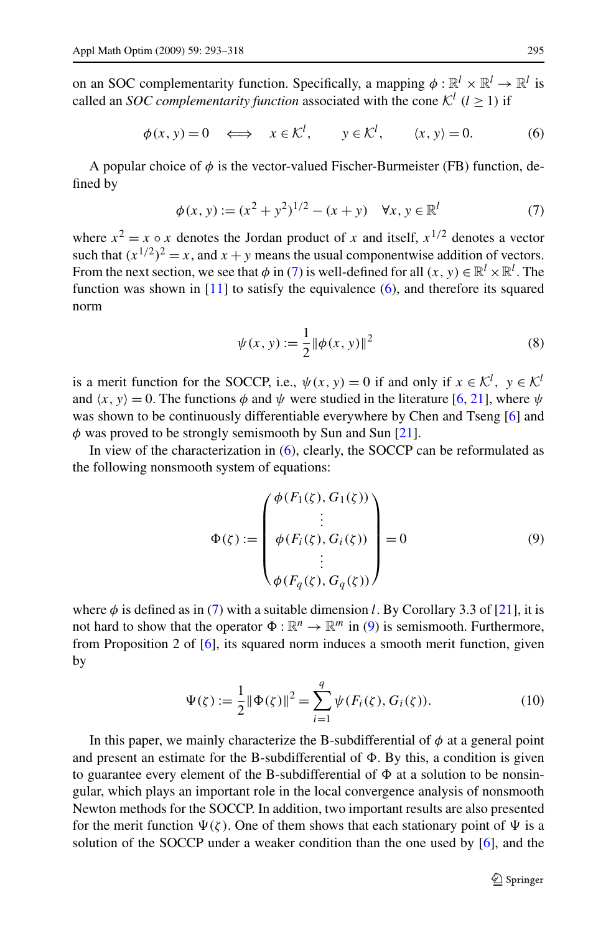<span id="page-2-0"></span>on an SOC complementarity function. Specifically, a mapping  $\phi : \mathbb{R}^l \times \mathbb{R}^l \to \mathbb{R}^l$  is called an *SOC complementarity function* associated with the cone  $K^l$  ( $l > 1$ ) if

$$
\phi(x, y) = 0 \iff x \in \mathcal{K}^l, \quad y \in \mathcal{K}^l, \quad \langle x, y \rangle = 0. \tag{6}
$$

A popular choice of  $\phi$  is the vector-valued Fischer-Burmeister (FB) function, defined by

$$
\phi(x, y) := (x^2 + y^2)^{1/2} - (x + y) \quad \forall x, y \in \mathbb{R}^l
$$
\n(7)

where  $x^2 = x \circ x$  denotes the Jordan product of *x* and itself,  $x^{1/2}$  denotes a vector such that  $(x^{1/2})^2 = x$ , and  $x + y$  means the usual componentwise addition of vectors. From the next section, we see that  $\phi$  in (7) is well-defined for all  $(x, y) \in \mathbb{R}^l \times \mathbb{R}^l$ . The function was shown in [[11\]](#page-24-0) to satisfy the equivalence (6), and therefore its squared norm

$$
\psi(x, y) := \frac{1}{2} ||\phi(x, y)||^2
$$
 (8)

is a merit function for the SOCCP, i.e.,  $\psi(x, y) = 0$  if and only if  $x \in \mathcal{K}^l$ ,  $y \in \mathcal{K}^l$ and  $\langle x, y \rangle = 0$ . The functions  $\phi$  and  $\psi$  were studied in the literature [[6,](#page-24-0) [21\]](#page-24-0), where  $\psi$ was shown to be continuously differentiable everywhere by Chen and Tseng [\[6](#page-24-0)] and *φ* was proved to be strongly semismooth by Sun and Sun [[21\]](#page-24-0).

In view of the characterization in (6), clearly, the SOCCP can be reformulated as the following nonsmooth system of equations:

$$
\Phi(\zeta) := \begin{pmatrix} \phi(F_1(\zeta), G_1(\zeta)) \\ \vdots \\ \phi(F_i(\zeta), G_i(\zeta)) \\ \vdots \\ \phi(F_q(\zeta), G_q(\zeta)) \end{pmatrix} = 0
$$
\n(9)

where  $\phi$  is defined as in (7) with a suitable dimension *l*. By Corollary 3.3 of [\[21](#page-24-0)], it is not hard to show that the operator  $\Phi : \mathbb{R}^n \to \mathbb{R}^m$  in (9) is semismooth. Furthermore, from Proposition 2 of [\[6\]](#page-24-0), its squared norm induces a smooth merit function, given by

$$
\Psi(\zeta) := \frac{1}{2} ||\Phi(\zeta)||^2 = \sum_{i=1}^q \psi(F_i(\zeta), G_i(\zeta)).
$$
\n(10)

In this paper, we mainly characterize the B-subdifferential of  $\phi$  at a general point and present an estimate for the B-subdifferential of  $\Phi$ . By this, a condition is given to guarantee every element of the B-subdifferential of  $\Phi$  at a solution to be nonsingular, which plays an important role in the local convergence analysis of nonsmooth Newton methods for the SOCCP. In addition, two important results are also presented for the merit function  $\Psi(\zeta)$ . One of them shows that each stationary point of  $\Psi$  is a solution of the SOCCP under a weaker condition than the one used by [[6\]](#page-24-0), and the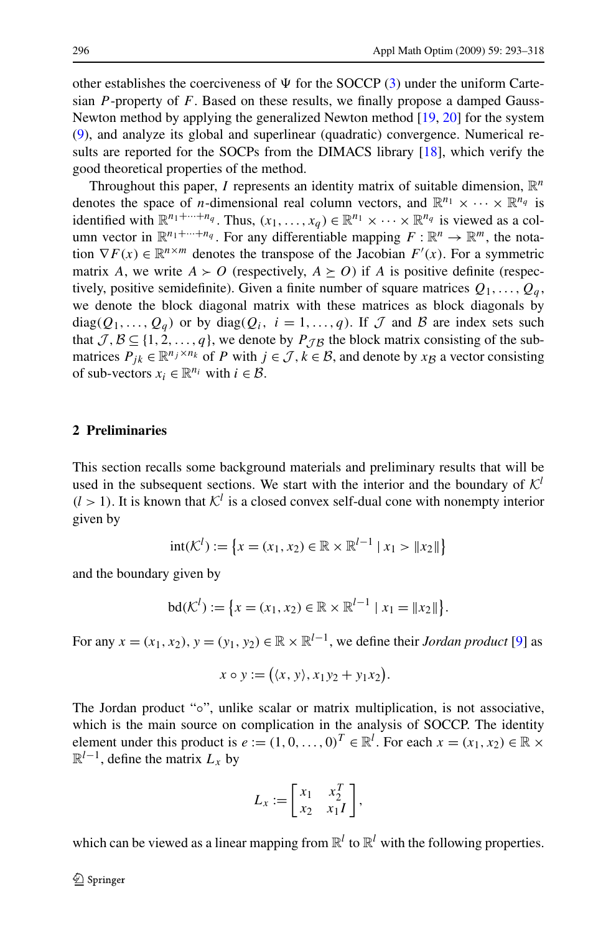other establishes the coerciveness of  $\Psi$  for the SOCCP ([3\)](#page-1-0) under the uniform Cartesian *P* -property of *F*. Based on these results, we finally propose a damped Gauss-Newton method by applying the generalized Newton method [\[19,](#page-24-0) [20](#page-24-0)] for the system [\(9](#page-2-0)), and analyze its global and superlinear (quadratic) convergence. Numerical results are reported for the SOCPs from the DIMACS library [\[18](#page-24-0)], which verify the good theoretical properties of the method.

Throughout this paper, *I* represents an identity matrix of suitable dimension,  $\mathbb{R}^n$ denotes the space of *n*-dimensional real column vectors, and  $\mathbb{R}^{n_1} \times \cdots \times \mathbb{R}^{n_q}$  is identified with  $\mathbb{R}^{n_1+\cdots+n_q}$ . Thus,  $(x_1,\ldots,x_q) \in \mathbb{R}^{n_1} \times \cdots \times \mathbb{R}^{n_q}$  is viewed as a column vector in  $\mathbb{R}^{n_1+\cdots+n_q}$ . For any differentiable mapping  $F: \mathbb{R}^n \to \mathbb{R}^m$ , the notation  $\nabla F(x) \in \mathbb{R}^{n \times m}$  denotes the transpose of the Jacobian  $F'(x)$ . For a symmetric matrix *A*, we write  $A \succ O$  (respectively,  $A \succeq O$ ) if *A* is positive definite (respectively, positive semidefinite). Given a finite number of square matrices  $Q_1, \ldots, Q_q$ , we denote the block diagonal matrix with these matrices as block diagonals by diag $(Q_1, \ldots, Q_q)$  or by diag $(Q_i, i = 1, \ldots, q)$ . If  $\mathcal J$  and  $\mathcal B$  are index sets such that  $\mathcal{J}, \mathcal{B} \subseteq \{1, 2, ..., q\}$ , we denote by  $P_{\mathcal{J}\mathcal{B}}$  the block matrix consisting of the submatrices  $P_{ik} \in \mathbb{R}^{n_j \times n_k}$  of *P* with  $j \in \mathcal{J}, k \in \mathcal{B}$ , and denote by  $x \beta$  a vector consisting of sub-vectors  $x_i \in \mathbb{R}^{n_i}$  with  $i \in \mathcal{B}$ .

# **2 Preliminaries**

This section recalls some background materials and preliminary results that will be used in the subsequent sections. We start with the interior and the boundary of  $K^l$  $(l > 1)$ . It is known that  $K^l$  is a closed convex self-dual cone with nonempty interior given by

$$
int(\mathcal{K}^l) := \{ x = (x_1, x_2) \in \mathbb{R} \times \mathbb{R}^{l-1} \mid x_1 > \|x_2\|\}
$$

and the boundary given by

$$
bd(\mathcal{K}^l):=\big\{x=(x_1,x_2)\in\mathbb{R}\times\mathbb{R}^{l-1}\mid x_1=\|x_2\|\big\}.
$$

For any  $x = (x_1, x_2), y = (y_1, y_2) \in \mathbb{R} \times \mathbb{R}^{l-1}$ , we define their *Jordan product* [\[9](#page-24-0)] as

$$
x \circ y := ((x, y), x_1y_2 + y_1x_2).
$$

The Jordan product "∘", unlike scalar or matrix multiplication, is not associative, which is the main source on complication in the analysis of SOCCP. The identity element under this product is  $e := (1, 0, \dots, 0)^T \in \mathbb{R}^l$ . For each  $x = (x_1, x_2) \in \mathbb{R} \times$  $\mathbb{R}^{l-1}$ , define the matrix  $L_x$  by

$$
L_x := \begin{bmatrix} x_1 & x_2^T \\ x_2 & x_1 I \end{bmatrix},
$$

which can be viewed as a linear mapping from  $\mathbb{R}^l$  to  $\mathbb{R}^l$  with the following properties.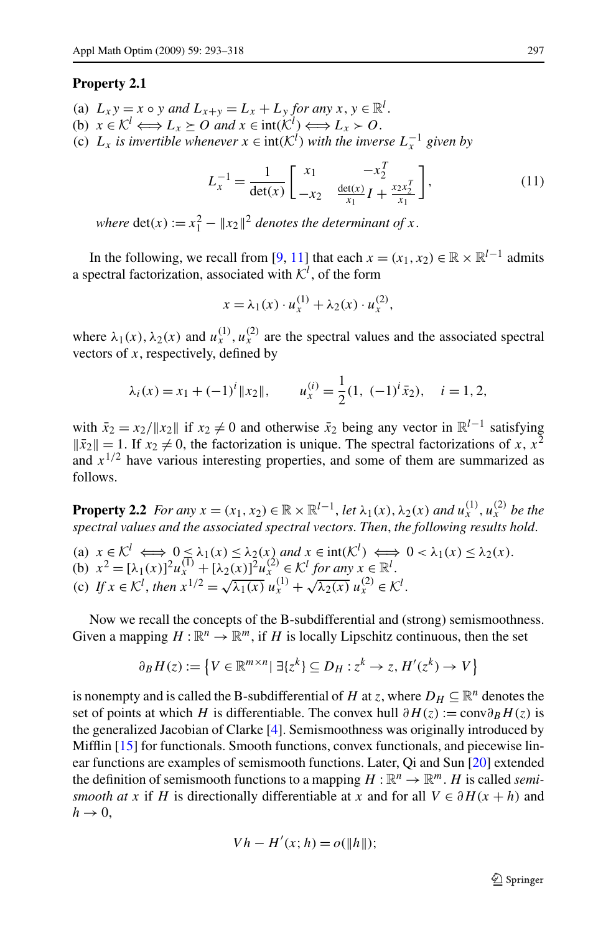#### <span id="page-4-0"></span>**Property 2.1**

- (a)  $L_x y = x \circ y$  *and*  $L_{x+y} = L_x + L_y$  *for any*  $x, y \in \mathbb{R}^l$ .
- (b)  $x \in \mathcal{K}^l \Longleftrightarrow L_x \succeq 0$  and  $x \in \text{int}(\mathcal{K}^l) \Longleftrightarrow L_x \succ 0$ .
- (c)  $L_x$  *is invertible whenever*  $x \in \text{int}(\mathcal{K}^l)$  *with the inverse*  $L_x^{-1}$  *given by*

$$
L_x^{-1} = \frac{1}{\det(x)} \begin{bmatrix} x_1 & -x_2^T \\ -x_2 & \frac{\det(x)}{x_1} I + \frac{x_2 x_2^T}{x_1} \end{bmatrix},
$$
(11)

*where*  $\det(x) := x_1^2 - ||x_2||^2$  *denotes the determinant of x*.

In the following, we recall from [\[9](#page-24-0), [11](#page-24-0)] that each  $x = (x_1, x_2) \in \mathbb{R} \times \mathbb{R}^{l-1}$  admits a spectral factorization, associated with  $\mathcal{K}^l$ , of the form

$$
x = \lambda_1(x) \cdot u_x^{(1)} + \lambda_2(x) \cdot u_x^{(2)},
$$

where  $\lambda_1(x)$ ,  $\lambda_2(x)$  and  $u_x^{(1)}$ ,  $u_x^{(2)}$  are the spectral values and the associated spectral vectors of *x*, respectively, defined by

$$
\lambda_i(x) = x_1 + (-1)^i ||x_2||,
$$
\n $u_x^{(i)} = \frac{1}{2}(1, (-1)^i \bar{x}_2), \quad i = 1, 2,$ 

with  $\bar{x}_2 = x_2 / ||x_2||$  if  $x_2 \neq 0$  and otherwise  $\bar{x}_2$  being any vector in  $\mathbb{R}^{l-1}$  satisfying  $\|\bar{x}_2\| = 1$ . If  $x_2 \neq 0$ , the factorization is unique. The spectral factorizations of *x*,  $x^2$ and  $x^{1/2}$  have various interesting properties, and some of them are summarized as follows.

**Property 2.2** *For any*  $x = (x_1, x_2) \in \mathbb{R} \times \mathbb{R}^{l-1}$ , *let*  $\lambda_1(x), \lambda_2(x)$  *and*  $u_x^{(1)}, u_x^{(2)}$  *be the spectral values and the associated spectral vectors*. *Then*, *the following results hold*.

(a)  $x \in \mathcal{K}^l \iff 0 \leq \lambda_1(x) \leq \lambda_2(x)$  and  $x \in \text{int}(\mathcal{K}^l) \iff 0 < \lambda_1(x) \leq \lambda_2(x)$ . (b)  $x^2 = [\lambda_1(x)]^2 u_x^{(1)} + [\lambda_2(x)]^2 u_x^{(2)} \in \mathcal{K}^l$  for any  $x \in \mathbb{R}^l$ . (c)  $If x \in \mathbb{R}^l$ , then  $x^{1/2} = \sqrt{\lambda_1(x)} u_x^{(1)} + \sqrt{\lambda_2(x)} u_x^{(2)} \in \mathbb{R}^l$ .

Now we recall the concepts of the B-subdifferential and (strong) semismoothness. Given a mapping  $H : \mathbb{R}^n \to \mathbb{R}^m$ , if *H* is locally Lipschitz continuous, then the set

$$
\partial_B H(z) := \left\{ V \in \mathbb{R}^{m \times n} \mid \exists \{ z^k \} \subseteq D_H : z^k \to z, H'(z^k) \to V \right\}
$$

is nonempty and is called the B-subdifferential of *H* at *z*, where  $D_H \subseteq \mathbb{R}^n$  denotes the set of points at which *H* is differentiable. The convex hull  $\partial H(z) := \text{conv}\partial_B H(z)$  is the generalized Jacobian of Clarke [\[4](#page-24-0)]. Semismoothness was originally introduced by Mifflin [\[15](#page-24-0)] for functionals. Smooth functions, convex functionals, and piecewise linear functions are examples of semismooth functions. Later, Qi and Sun [\[20](#page-24-0)] extended the definition of semismooth functions to a mapping  $H : \mathbb{R}^n \to \mathbb{R}^m$ . *H* is called *semismooth at x* if *H* is directionally differentiable at *x* and for all  $V \in \partial H(x + h)$  and  $h \rightarrow 0$ ,

$$
Vh - H'(x; h) = o(\Vert h \Vert);
$$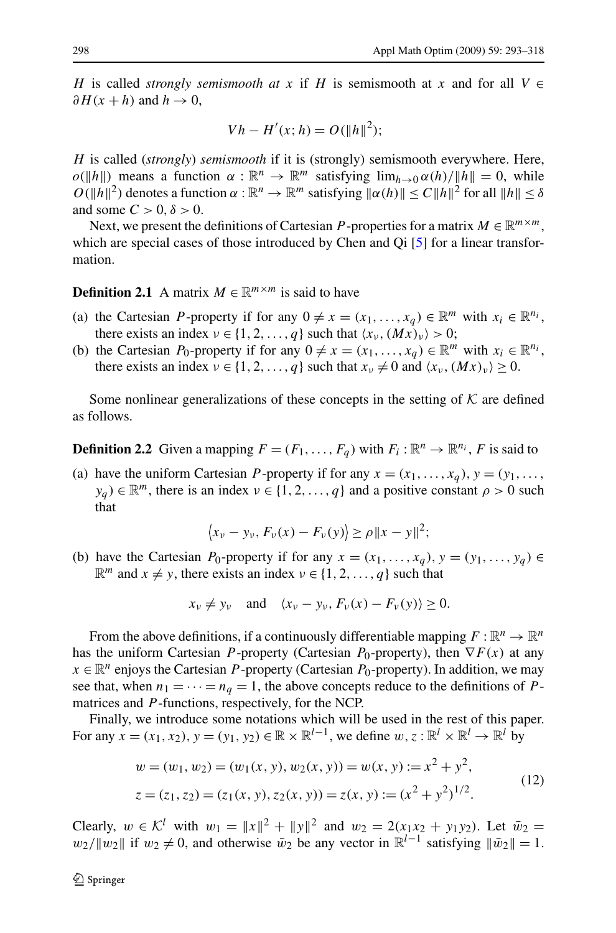<span id="page-5-0"></span>*H* is called *strongly semismooth at x* if *H* is semismooth at *x* and for all  $V \in$  $∂H(x + h)$  and  $h \rightarrow 0$ ,

$$
Vh - H'(x; h) = O(||h||^2);
$$

*H* is called (*strongly*) *semismooth* if it is (strongly) semismooth everywhere. Here, *o*( $||h||$ ) means a function  $\alpha : \mathbb{R}^n \to \mathbb{R}^m$  satisfying  $\lim_{h \to 0} \alpha(h)/||h|| = 0$ , while *O*( $||h||^2$ ) denotes a function  $\alpha : \mathbb{R}^n \to \mathbb{R}^m$  satisfying  $||\alpha(h)|| \le C ||h||^2$  for all  $||h|| \le \delta$ and some  $C > 0, \delta > 0$ .

Next, we present the definitions of Cartesian *P* -properties for a matrix  $M \in \mathbb{R}^{m \times m}$ , which are special cases of those introduced by Chen and Qi [[5\]](#page-24-0) for a linear transformation.

# **Definition 2.1** A matrix  $M \in \mathbb{R}^{m \times m}$  is said to have

- (a) the Cartesian *P*-property if for any  $0 \neq x = (x_1, \ldots, x_a) \in \mathbb{R}^m$  with  $x_i \in \mathbb{R}^{n_i}$ , there exists an index  $v \in \{1, 2, ..., q\}$  such that  $\langle x_v, (Mx)_v \rangle > 0$ ;
- (b) the Cartesian *P*<sub>0</sub>-property if for any  $0 \neq x = (x_1, \ldots, x_q) \in \mathbb{R}^m$  with  $x_i \in \mathbb{R}^{n_i}$ , there exists an index  $v \in \{1, 2, ..., q\}$  such that  $x_v \neq 0$  and  $\langle x_v, (Mx)_v \rangle \geq 0$ .

Some nonlinear generalizations of these concepts in the setting of  $K$  are defined as follows.

**Definition 2.2** Given a mapping  $F = (F_1, \ldots, F_a)$  with  $F_i : \mathbb{R}^n \to \mathbb{R}^{n_i}$ , *F* is said to

(a) have the uniform Cartesian *P*-property if for any  $x = (x_1, \ldots, x_q)$ ,  $y = (y_1, \ldots, y_q)$  $y_q$   $\in \mathbb{R}^m$ , there is an index  $\nu \in \{1, 2, ..., q\}$  and a positive constant  $\rho > 0$  such that

$$
\langle x_{\nu} - y_{\nu}, F_{\nu}(x) - F_{\nu}(y) \rangle \ge \rho \|x - y\|^2;
$$

(b) have the Cartesian *P*<sub>0</sub>-property if for any  $x = (x_1, \ldots, x_q)$ ,  $y = (y_1, \ldots, y_q)$  $\mathbb{R}^m$  and  $x \neq y$ , there exists an index  $v \in \{1, 2, ..., q\}$  such that

$$
x_v \neq y_v
$$
 and  $\langle x_v - y_v, F_v(x) - F_v(y) \rangle \ge 0$ .

From the above definitions, if a continuously differentiable mapping  $F : \mathbb{R}^n \to \mathbb{R}^n$ has the uniform Cartesian *P*-property (Cartesian *P*<sub>0</sub>-property), then  $\nabla F(x)$  at any  $x \in \mathbb{R}^n$  enjoys the Cartesian *P*-property (Cartesian *P*<sub>0</sub>-property). In addition, we may see that, when  $n_1 = \cdots = n_q = 1$ , the above concepts reduce to the definitions of *P*matrices and *P* -functions, respectively, for the NCP.

Finally, we introduce some notations which will be used in the rest of this paper. For any  $x = (x_1, x_2), y = (y_1, y_2) \in \mathbb{R} \times \mathbb{R}^{l-1}$ , we define  $w, z : \mathbb{R}^l \times \mathbb{R}^l \to \mathbb{R}^l$  by

$$
w = (w_1, w_2) = (w_1(x, y), w_2(x, y)) = w(x, y) := x^2 + y^2,
$$
  
\n
$$
z = (z_1, z_2) = (z_1(x, y), z_2(x, y)) = z(x, y) := (x^2 + y^2)^{1/2}.
$$
\n(12)

Clearly,  $w \in \mathcal{K}^l$  with  $w_1 = ||x||^2 + ||y||^2$  and  $w_2 = 2(x_1x_2 + y_1y_2)$ . Let  $\bar{w}_2 =$ *w*<sub>2</sub>/ $||w_2||$  if *w*<sub>2</sub> ≠ 0, and otherwise  $\bar{w}_2$  be any vector in  $\mathbb{R}^{l-1}$  satisfying  $||\bar{w}_2|| = 1$ .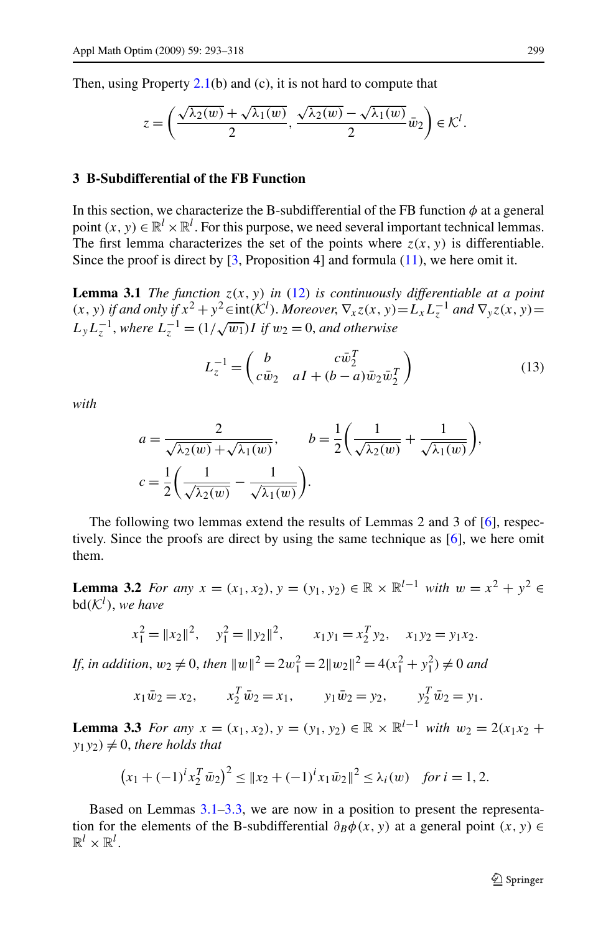<span id="page-6-0"></span>Then, using Property  $2.1(b)$  $2.1(b)$  and (c), it is not hard to compute that

$$
z=\left(\frac{\sqrt{\lambda_2(w)}+\sqrt{\lambda_1(w)}}{2},\,\frac{\sqrt{\lambda_2(w)}-\sqrt{\lambda_1(w)}}{2}\bar{w}_2\right)\in\mathcal{K}^l.
$$

#### **3 B-Subdifferential of the FB Function**

In this section, we characterize the B-subdifferential of the FB function  $\phi$  at a general point  $(x, y) \in \mathbb{R}^l \times \mathbb{R}^l$ . For this purpose, we need several important technical lemmas. The first lemma characterizes the set of the points where  $z(x, y)$  is differentiable. Since the proof is direct by  $\lceil 3$ , Proposition 4 and formula ([11\)](#page-4-0), we here omit it.

**Lemma 3.1** *The function*  $z(x, y)$  *in* [\(12\)](#page-5-0) *is continuously differentiable at a point (x, y) if and only if*  $x^2 + y^2 ∈ int(K^l)$ . *Moreover*,  $\nabla_x z(x, y) = L_x L_z^{-1}$  *and*  $\nabla_y z(x, y) =$  $L_y L_z^{-1}$ , where  $L_z^{-1} = (1/\sqrt{w_1})I$  if  $w_2 = 0$ , and otherwise

$$
L_z^{-1} = \begin{pmatrix} b & c\bar{w}_2^T \\ c\bar{w}_2 & aI + (b-a)\bar{w}_2\bar{w}_2^T \end{pmatrix}
$$
 (13)

*with*

$$
a = \frac{2}{\sqrt{\lambda_2(w)} + \sqrt{\lambda_1(w)}}, \qquad b = \frac{1}{2} \left( \frac{1}{\sqrt{\lambda_2(w)}} + \frac{1}{\sqrt{\lambda_1(w)}} \right),
$$
  

$$
c = \frac{1}{2} \left( \frac{1}{\sqrt{\lambda_2(w)}} - \frac{1}{\sqrt{\lambda_1(w)}} \right).
$$

The following two lemmas extend the results of Lemmas 2 and 3 of [[6\]](#page-24-0), respectively. Since the proofs are direct by using the same technique as [[6\]](#page-24-0), we here omit them.

**Lemma 3.2** *For any*  $x = (x_1, x_2), y = (y_1, y_2) \in \mathbb{R} \times \mathbb{R}^{l-1}$  *with*  $w = x^2 + y^2 \in \mathbb{R}$  $bd(K^l)$ *, we have* 

$$
x_1^2 = ||x_2||^2
$$
,  $y_1^2 = ||y_2||^2$ ,  $x_1y_1 = x_2^T y_2$ ,  $x_1y_2 = y_1x_2$ .

*If*, *in addition*,  $w_2 \neq 0$ , *then*  $||w||^2 = 2w_1^2 = 2||w_2||^2 = 4(x_1^2 + y_1^2) \neq 0$  and

 $x_1 \bar{w}_2 = x_2,$   $x_1^T \bar{w}_2 = x_1,$   $y_1 \bar{w}_2 = y_2,$   $y_2^T \bar{w}_2 = y_1.$ 

**Lemma 3.3** For any  $x = (x_1, x_2), y = (y_1, y_2) \in \mathbb{R} \times \mathbb{R}^{l-1}$  with  $w_2 = 2(x_1x_2 + y_1)$  $y_1y_2$   $\neq$  0, *there holds that* 

$$
(x_1 + (-1)^i x_2^T \bar{w}_2)^2 \le ||x_2 + (-1)^i x_1 \bar{w}_2||^2 \le \lambda_i(w) \quad \text{for } i = 1, 2.
$$

Based on Lemmas  $3.1-3.3$ , we are now in a position to present the representation for the elements of the B-subdifferential  $\partial_B \phi(x, y)$  at a general point  $(x, y) \in$  $\mathbb{R}^l \times \mathbb{R}^l$ .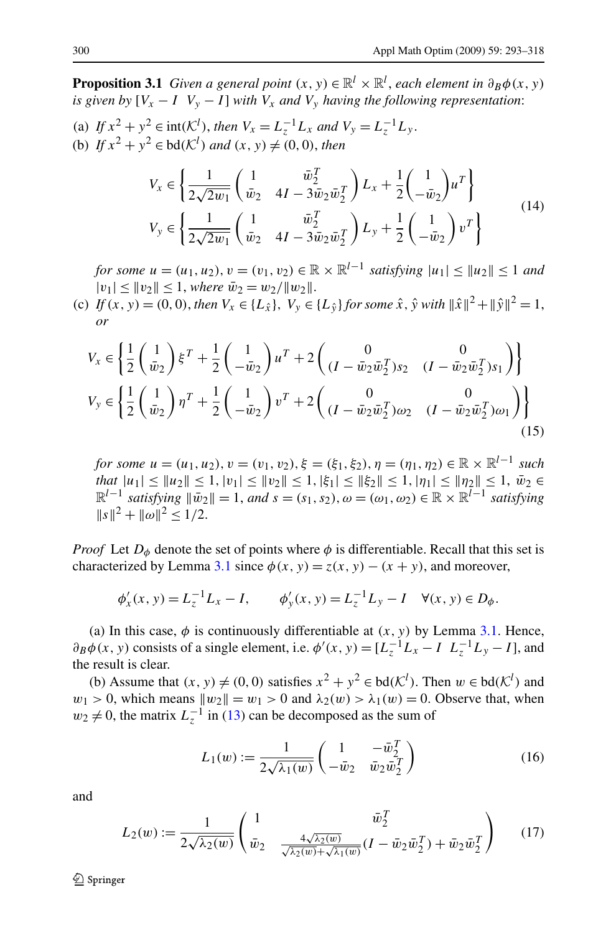<span id="page-7-0"></span>**Proposition 3.1** *Given a general point*  $(x, y) \in \mathbb{R}^l \times \mathbb{R}^l$ , *each element in*  $\partial_B \phi(x, y)$ *is given by*  $[V_x - I \, V_y - I]$  *with*  $V_x$  *and*  $V_y$  *having the following representation:* 

(a) *If*  $x^2 + y^2 \in \text{int}(\mathcal{K}^l)$ , *then*  $V_x = L_z^{-1}L_x$  *and*  $V_y = L_z^{-1}L_y$ . (b) *If*  $x^2 + y^2 \in bd(\mathcal{K}^l)$  *and*  $(x, y) \neq (0, 0)$ *, then* 

$$
V_x \in \left\{ \frac{1}{2\sqrt{2w_1}} \begin{pmatrix} 1 & \bar{w}_2^T \\ \bar{w}_2 & 4I - 3\bar{w}_2 \bar{w}_2^T \end{pmatrix} L_x + \frac{1}{2} \begin{pmatrix} 1 \\ -\bar{w}_2 \end{pmatrix} u^T \right\}
$$
  
\n
$$
V_y \in \left\{ \frac{1}{2\sqrt{2w_1}} \begin{pmatrix} 1 & \bar{w}_2^T \\ \bar{w}_2 & 4I - 3\bar{w}_2 \bar{w}_2^T \end{pmatrix} L_y + \frac{1}{2} \begin{pmatrix} 1 \\ -\bar{w}_2 \end{pmatrix} v^T \right\}
$$
(14)

*for some*  $u = (u_1, u_2), v = (v_1, v_2) \in \mathbb{R} \times \mathbb{R}^{l-1}$  *satisfying*  $|u_1| < |u_2| < 1$  *and*  $|v_1| \leq |v_2| \leq 1$ , *where*  $\bar{w}_2 = w_2 / ||w_2||$ .

(c) *If*  $(x, y) = (0, 0)$ , *then*  $V_x \in \{L_{\hat{x}}\}$ ,  $V_y \in \{L_{\hat{y}}\}$  *for some*  $\hat{x}$ ,  $\hat{y}$  *with*  $\|\hat{x}\|^2 + \|\hat{y}\|^2 = 1$ , *or*

$$
V_x \in \left\{ \frac{1}{2} \begin{pmatrix} 1 \\ \bar{w}_2 \end{pmatrix} \xi^T + \frac{1}{2} \begin{pmatrix} 1 \\ -\bar{w}_2 \end{pmatrix} u^T + 2 \begin{pmatrix} 0 & 0 \\ (I - \bar{w}_2 \bar{w}_2^T) s_2 & (I - \bar{w}_2 \bar{w}_2^T) s_1 \end{pmatrix} \right\}
$$
  

$$
V_y \in \left\{ \frac{1}{2} \begin{pmatrix} 1 \\ \bar{w}_2 \end{pmatrix} \eta^T + \frac{1}{2} \begin{pmatrix} 1 \\ -\bar{w}_2 \end{pmatrix} v^T + 2 \begin{pmatrix} 0 & 0 \\ (I - \bar{w}_2 \bar{w}_2^T) \omega_2 & (I - \bar{w}_2 \bar{w}_2^T) \omega_1 \end{pmatrix} \right\}
$$
(15)

*for some*  $u = (u_1, u_2), v = (v_1, v_2), \xi = (\xi_1, \xi_2), \eta = (\eta_1, \eta_2) \in \mathbb{R} \times \mathbb{R}^{l-1}$  *such*  $t$ *hat*  $|u_1| \leq ||u_2|| \leq 1, |v_1| \leq ||v_2|| \leq 1, |\xi_1| \leq ||\xi_2|| \leq 1, |\eta_1| \leq ||\eta_2|| \leq 1, \bar{w}_2 \in$  $\mathbb{R}^{l-1}$  *satisfying*  $\|\bar{w}_2\| = 1$ *, and*  $s = (s_1, s_2), \omega = (\omega_1, \omega_2) \in \mathbb{R} \times \mathbb{R}^{l-1}$  *satisfying*  $||s||^2 + ||\omega||^2 < 1/2$ .

*Proof* Let  $D_{\phi}$  denote the set of points where  $\phi$  is differentiable. Recall that this set is characterized by Lemma [3.1](#page-6-0) since  $\phi(x, y) = z(x, y) - (x + y)$ , and moreover,

$$
\phi'_x(x, y) = L_z^{-1}L_x - I
$$
,  $\phi'_y(x, y) = L_z^{-1}L_y - I$   $\forall (x, y) \in D_{\phi}$ .

(a) In this case,  $\phi$  is continuously differentiable at  $(x, y)$  by Lemma [3.1](#page-6-0). Hence,  $\partial_B \phi(x, y)$  consists of a single element, i.e.  $\phi'(x, y) = [L_z^{-1}L_x - I \ L_z^{-1}L_y - I]$ , and the result is clear.

(b) Assume that  $(x, y) \neq (0, 0)$  satisfies  $x^2 + y^2 \in bd(\mathcal{K}^l)$ . Then  $w \in bd(\mathcal{K}^l)$  and  $w_1 > 0$ , which means  $||w_2|| = w_1 > 0$  and  $\lambda_2(w) > \lambda_1(w) = 0$ . Observe that, when  $w_2 \neq 0$ , the matrix  $L_z^{-1}$  in ([13\)](#page-6-0) can be decomposed as the sum of

$$
L_1(w) := \frac{1}{2\sqrt{\lambda_1(w)}} \begin{pmatrix} 1 & -\bar{w}_2^T \\ -\bar{w}_2 & \bar{w}_2 \bar{w}_2^T \end{pmatrix}
$$
 (16)

and

$$
L_2(w) := \frac{1}{2\sqrt{\lambda_2(w)}} \begin{pmatrix} 1 & \bar{w}_2^T \\ \bar{w}_2 & \frac{4\sqrt{\lambda_2(w)}}{\sqrt{\lambda_2(w)} + \sqrt{\lambda_1(w)}} (I - \bar{w}_2 \bar{w}_2^T) + \bar{w}_2 \bar{w}_2^T \end{pmatrix}
$$
(17)

 $\mathcal{D}$  Springer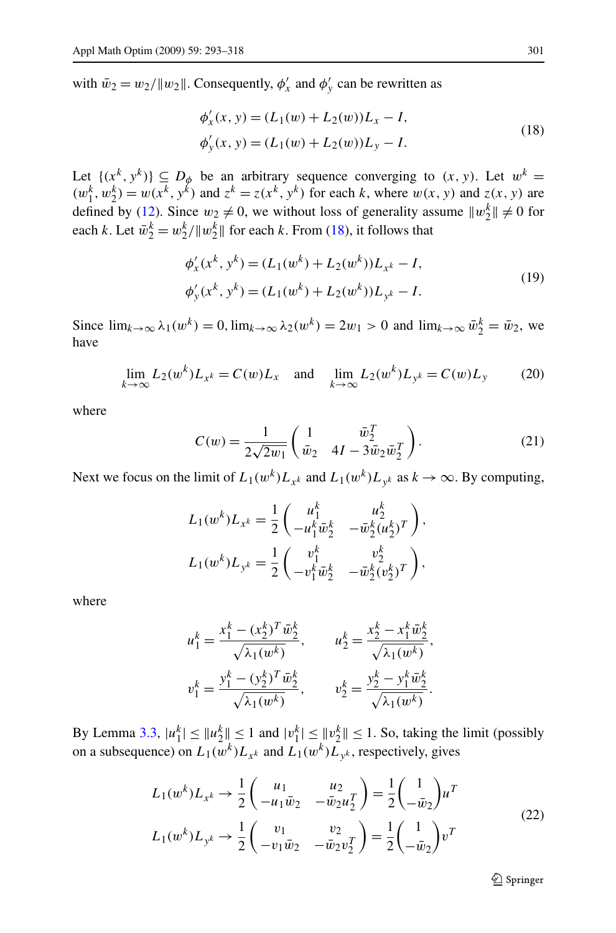<span id="page-8-0"></span>with  $\bar{w}_2 = w_2 / \|w_2\|$ . Consequently,  $\phi'_x$  and  $\phi'_y$  can be rewritten as

$$
\phi'_x(x, y) = (L_1(w) + L_2(w))L_x - I,
$$
  
\n
$$
\phi'_y(x, y) = (L_1(w) + L_2(w))L_y - I.
$$
\n(18)

Let  $\{(x^k, y^k)\}\subseteq D_\phi$  be an arbitrary sequence converging to  $(x, y)$ . Let  $w^k =$  $(w_1^k, w_2^k) = w(x^k, y^k)$  and  $z^k = z(x^k, y^k)$  for each *k*, where  $w(x, y)$  and  $z(x, y)$  are defined by ([12\)](#page-5-0). Since  $w_2 \neq 0$ , we without loss of generality assume  $||w_2^k|| \neq 0$  for each *k*. Let  $\bar{w}_2^k = w_2^k / \|w_2^k\|$  for each *k*. From (18), it follows that

$$
\phi'_x(x^k, y^k) = (L_1(w^k) + L_2(w^k))L_{x^k} - I,
$$
  
\n
$$
\phi'_y(x^k, y^k) = (L_1(w^k) + L_2(w^k))L_{y^k} - I.
$$
\n(19)

Since  $\lim_{k\to\infty} \lambda_1(w^k) = 0$ ,  $\lim_{k\to\infty} \lambda_2(w^k) = 2w_1 > 0$  and  $\lim_{k\to\infty} \bar{w}_2^k = \bar{w}_2$ , we have

$$
\lim_{k \to \infty} L_2(w^k) L_{x^k} = C(w) L_x \quad \text{and} \quad \lim_{k \to \infty} L_2(w^k) L_{y^k} = C(w) L_y \tag{20}
$$

where

$$
C(w) = \frac{1}{2\sqrt{2w_1}} \begin{pmatrix} 1 & \bar{w}_2^T \\ \bar{w}_2 & 4I - 3\bar{w}_2\bar{w}_2^T \end{pmatrix}.
$$
 (21)

Next we focus on the limit of  $L_1(w^k)L_{x^k}$  and  $L_1(w^k)L_{y^k}$  as  $k \to \infty$ . By computing,

$$
L_1(w^k)L_{x^k} = \frac{1}{2} \begin{pmatrix} u_1^k & u_2^k \\ -u_1^k \bar{w}_2^k & -\bar{w}_2^k (u_2^k)^T \end{pmatrix},
$$
  

$$
L_1(w^k)L_{y^k} = \frac{1}{2} \begin{pmatrix} v_1^k & v_2^k \\ -v_1^k \bar{w}_2^k & -\bar{w}_2^k (v_2^k)^T \end{pmatrix},
$$

where

$$
u_1^k = \frac{x_1^k - (x_2^k)^T \bar{w}_2^k}{\sqrt{\lambda_1(w^k)}}, \qquad u_2^k = \frac{x_2^k - x_1^k \bar{w}_2^k}{\sqrt{\lambda_1(w^k)}},
$$
  

$$
v_1^k = \frac{y_1^k - (y_2^k)^T \bar{w}_2^k}{\sqrt{\lambda_1(w^k)}}, \qquad v_2^k = \frac{y_2^k - y_1^k \bar{w}_2^k}{\sqrt{\lambda_1(w^k)}}.
$$

By Lemma [3.3](#page-6-0),  $|u_1^k| \le ||u_2^k|| \le 1$  and  $|v_1^k| \le ||v_2^k|| \le 1$ . So, taking the limit (possibly on a subsequence) on  $L_1(w^k)L_{x^k}$  and  $L_1(w^k)L_{y^k}$ , respectively, gives

$$
L_1(w^k)L_{x^k} \to \frac{1}{2} \begin{pmatrix} u_1 & u_2 \\ -u_1 \bar{w}_2 & -\bar{w}_2 u_2^T \end{pmatrix} = \frac{1}{2} \begin{pmatrix} 1 \\ -\bar{w}_2 \end{pmatrix} u^T
$$
  
\n
$$
L_1(w^k)L_{y^k} \to \frac{1}{2} \begin{pmatrix} v_1 & v_2 \\ -v_1 \bar{w}_2 & -\bar{w}_2 v_2^T \end{pmatrix} = \frac{1}{2} \begin{pmatrix} 1 \\ -\bar{w}_2 \end{pmatrix} v^T
$$
\n(22)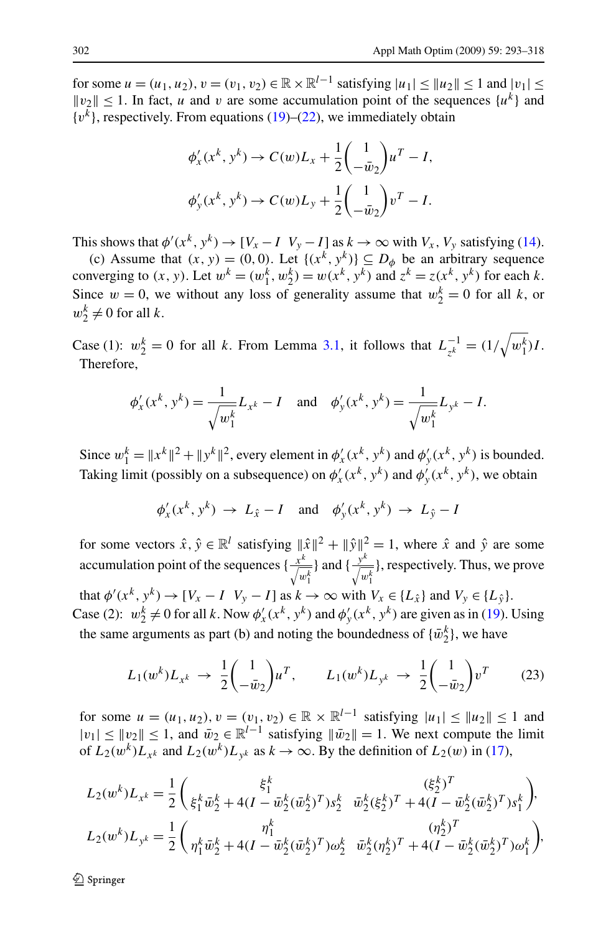<span id="page-9-0"></span>for some  $u = (u_1, u_2), v = (v_1, v_2) \in \mathbb{R} \times \mathbb{R}^{l-1}$  satisfying  $|u_1| < |u_2| < 1$  and  $|v_1| <$  $||v_2|| \le 1$ . In fact, *u* and *v* are some accumulation point of the sequences  $\{u^k\}$  and  $\{v^k\}$ , respectively. From equations ([19\)](#page-8-0)–([22\)](#page-8-0), we immediately obtain

$$
\phi'_x(x^k, y^k) \to C(w)L_x + \frac{1}{2} \left( \frac{1}{-\bar{w}_2} \right) u^T - I,
$$
  

$$
\phi'_y(x^k, y^k) \to C(w)L_y + \frac{1}{2} \left( \frac{1}{-\bar{w}_2} \right) v^T - I.
$$

This shows that  $\phi'(x^k, y^k) \to [V_x - I \ V_y - I]$  as  $k \to \infty$  with  $V_x$ ,  $V_y$  satisfying ([14\)](#page-7-0).

(c) Assume that  $(x, y) = (0, 0)$ . Let  $\{(x^k, y^k)\}\subseteq D_\phi$  be an arbitrary sequence converging to  $(x, y)$ . Let  $w^k = (w^k_1, w^k_2) = w(x^k, y^k)$  and  $z^k = z(x^k, y^k)$  for each *k*. Since  $w = 0$ , we without any loss of generality assume that  $w_2^k = 0$  for all k, or  $w_2^k \neq 0$  for all *k*.

Case (1):  $w_2^k = 0$  for all *k*. From Lemma [3.1,](#page-6-0) it follows that  $L_{z^k}^{-1} = (1/\sqrt{w_1^k})I$ . Therefore,

$$
\phi'_x(x^k, y^k) = \frac{1}{\sqrt{w_1^k}} L_{x^k} - I \quad \text{and} \quad \phi'_y(x^k, y^k) = \frac{1}{\sqrt{w_1^k}} L_{y^k} - I.
$$

Since  $w_1^k = ||x^k||^2 + ||y^k||^2$ , every element in  $\phi'_x(x^k, y^k)$  and  $\phi'_y(x^k, y^k)$  is bounded. Taking limit (possibly on a subsequence) on  $\phi'_x(x^k, y^k)$  and  $\phi'_y(x^k, y^k)$ , we obtain

$$
\phi'_x(x^k, y^k) \rightarrow L_{\hat{x}} - I
$$
 and  $\phi'_y(x^k, y^k) \rightarrow L_{\hat{y}} - I$ 

for some vectors  $\hat{x}, \hat{y} \in \mathbb{R}^l$  satisfying  $\|\hat{x}\|^2 + \|\hat{y}\|^2 = 1$ , where  $\hat{x}$  and  $\hat{y}$  are some accumulation point of the sequences  $\{\frac{x^k}{\sqrt{w_1^k}}\}$ } and { $\frac{y^k}{\sqrt{w_1^k}}$ }, respectively. Thus, we prove that  $\phi'(x^k, y^k) \to [V_x - I \ V_y - I]$  as  $k \to \infty$  with  $V_x \in \{L_{\hat{x}}\}$  and  $V_y \in \{L_{\hat{y}}\}.$ Case (2):  $w_2^k \neq 0$  for all *k*. Now  $\phi'_x(x^k, y^k)$  and  $\phi'_y(x^k, y^k)$  are given as in ([19\)](#page-8-0). Using the same arguments as part (b) and noting the boundedness of  $\{\bar{w}_2^k\}$ , we have

$$
L_1(w^k)L_{x^k} \to \frac{1}{2} \begin{pmatrix} 1 \\ -\bar{w}_2 \end{pmatrix} u^T, \qquad L_1(w^k)L_{y^k} \to \frac{1}{2} \begin{pmatrix} 1 \\ -\bar{w}_2 \end{pmatrix} v^T \tag{23}
$$

for some  $u = (u_1, u_2), v = (v_1, v_2) \in \mathbb{R} \times \mathbb{R}^{l-1}$  satisfying  $|u_1| \leq ||u_2|| \leq 1$  and  $|v_1|$  ≤  $||v_2||$  ≤ 1, and  $\bar{w}_2 \in \mathbb{R}^{l-1}$  satisfying  $||\bar{w}_2|| = 1$ . We next compute the limit of  $L_2(w^k)L_{x^k}$  and  $L_2(w^k)L_{y^k}$  as  $k \to \infty$ . By the definition of  $L_2(w)$  in [\(17](#page-7-0)),

$$
L_2(w^k)L_{x^k} = \frac{1}{2} \begin{pmatrix} \xi_1^k \\ \xi_1^k \bar{w}_2^k + 4(I - \bar{w}_2^k (\bar{w}_2^k)^T) s_2^k & \bar{w}_2^k (\xi_2^k)^T + 4(I - \bar{w}_2^k (\bar{w}_2^k)^T) s_1^k \end{pmatrix},
$$
  
\n
$$
L_2(w^k)L_{y^k} = \frac{1}{2} \begin{pmatrix} \eta_1^k \\ \eta_1^k \bar{w}_2^k + 4(I - \bar{w}_2^k (\bar{w}_2^k)^T) \omega_2^k & \bar{w}_2^k (\eta_2^k)^T + 4(I - \bar{w}_2^k (\bar{w}_2^k)^T) \omega_1^k \end{pmatrix},
$$

 $\mathcal{D}$  Springer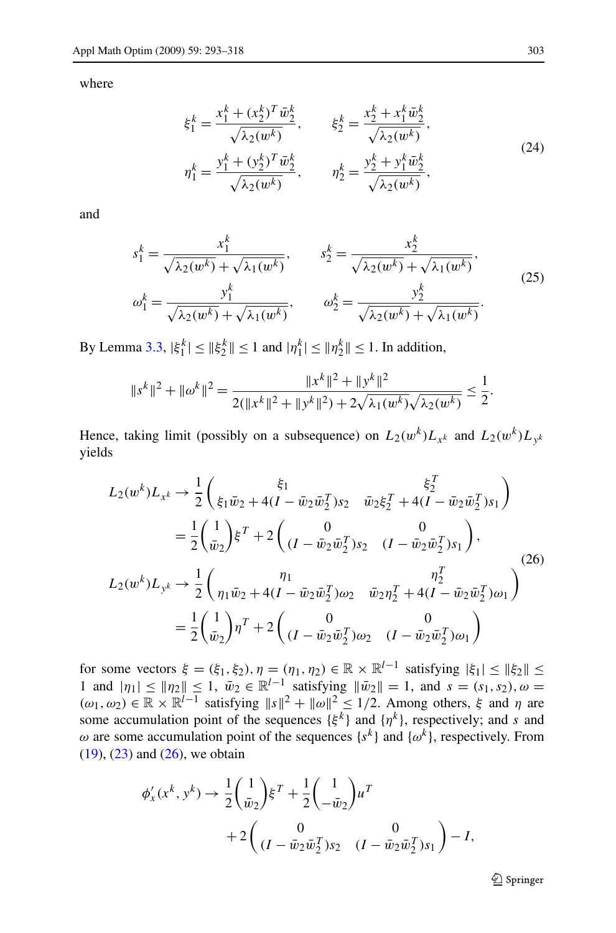where

$$
\xi_1^k = \frac{x_1^k + (x_2^k)^T \bar{w}_2^k}{\sqrt{\lambda_2(w^k)}}, \qquad \xi_2^k = \frac{x_2^k + x_1^k \bar{w}_2^k}{\sqrt{\lambda_2(w^k)}},
$$
\n
$$
\eta_1^k = \frac{y_1^k + (y_2^k)^T \bar{w}_2^k}{\sqrt{\lambda_2(w^k)}}, \qquad \eta_2^k = \frac{y_2^k + y_1^k \bar{w}_2^k}{\sqrt{\lambda_2(w^k)}},
$$
\n(24)

and

$$
s_1^k = \frac{x_1^k}{\sqrt{\lambda_2(w^k)} + \sqrt{\lambda_1(w^k)}}, \qquad s_2^k = \frac{x_2^k}{\sqrt{\lambda_2(w^k)} + \sqrt{\lambda_1(w^k)}},
$$
  
\n
$$
\omega_1^k = \frac{y_1^k}{\sqrt{\lambda_2(w^k)} + \sqrt{\lambda_1(w^k)}}, \qquad \omega_2^k = \frac{y_2^k}{\sqrt{\lambda_2(w^k)} + \sqrt{\lambda_1(w^k)}}.
$$
\n(25)

By Lemma [3.3](#page-6-0),  $|\xi_1^k| \leq ||\xi_2^k|| \leq 1$  and  $|\eta_1^k| \leq ||\eta_2^k|| \leq 1$ . In addition,

$$
||s^k||^2 + ||\omega^k||^2 = \frac{||x^k||^2 + ||y^k||^2}{2(||x^k||^2 + ||y^k||^2) + 2\sqrt{\lambda_1(w^k)}\sqrt{\lambda_2(w^k)}} \le \frac{1}{2}.
$$

Hence, taking limit (possibly on a subsequence) on  $L_2(w^k)L_{x^k}$  and  $L_2(w^k)L_{y^k}$ yields

$$
L_2(w^k)L_{x^k} \to \frac{1}{2} \begin{pmatrix} \xi_1 & \xi_2^T \\ \xi_1 \bar{w}_2 + 4(I - \bar{w}_2 \bar{w}_2^T) s_2 & \bar{w}_2 \xi_2^T + 4(I - \bar{w}_2 \bar{w}_2^T) s_1 \end{pmatrix}
$$
  
\n
$$
= \frac{1}{2} \begin{pmatrix} 1 \\ \bar{w}_2 \end{pmatrix} \xi^T + 2 \begin{pmatrix} 0 & 0 \\ (I - \bar{w}_2 \bar{w}_2^T) s_2 & (I - \bar{w}_2 \bar{w}_2^T) s_1 \end{pmatrix},
$$
  
\n
$$
L_2(w^k)L_{y^k} \to \frac{1}{2} \begin{pmatrix} \eta_1 & \eta_2^T \\ \eta_1 \bar{w}_2 + 4(I - \bar{w}_2 \bar{w}_2^T) \omega_2 & \bar{w}_2 \eta_2^T + 4(I - \bar{w}_2 \bar{w}_2^T) \omega_1 \end{pmatrix}
$$
  
\n
$$
= \frac{1}{2} \begin{pmatrix} 1 \\ \bar{w}_2 \end{pmatrix} \eta^T + 2 \begin{pmatrix} 0 & 0 \\ (I - \bar{w}_2 \bar{w}_2^T) \omega_2 & (I - \bar{w}_2 \bar{w}_2^T) \omega_1 \end{pmatrix}
$$

for some vectors  $\xi = (\xi_1, \xi_2), \eta = (\eta_1, \eta_2) \in \mathbb{R} \times \mathbb{R}^{l-1}$  satisfying  $|\xi_1| \leq ||\xi_2|| \leq$ 1 and  $|\eta_1| \leq |\eta_2| \leq 1$ ,  $\bar{w}_2 \in \mathbb{R}^{l-1}$  satisfying  $\|\bar{w}_2\| = 1$ , and  $s = (s_1, s_2)$ ,  $\omega =$  $(\omega_1, \omega_2) \in \mathbb{R} \times \mathbb{R}^{l-1}$  satisfying  $||s||^2 + ||\omega||^2 \le 1/2$ . Among others,  $\xi$  and  $\eta$  are some accumulation point of the sequences  $\{\xi^k\}$  and  $\{\eta^k\}$ , respectively; and *s* and *ω* are some accumulation point of the sequences  $\{s^k\}$  and  $\{\omega^k\}$ , respectively. From  $(19)$  $(19)$ ,  $(23)$  $(23)$  and  $(26)$ , we obtain

$$
\phi'_x(x^k, y^k) \to \frac{1}{2} \left(\frac{1}{\bar{w}_2}\right) \xi^T + \frac{1}{2} \left(\frac{1}{-\bar{w}_2}\right) u^T
$$
  
+2\left(\frac{0}{(I - \bar{w}\_2 \bar{w}\_2^T) s\_2} \left(I - \bar{w}\_2 \bar{w}\_2^T\right) s\_1\right) - I,

 $\mathcal{D}$  Springer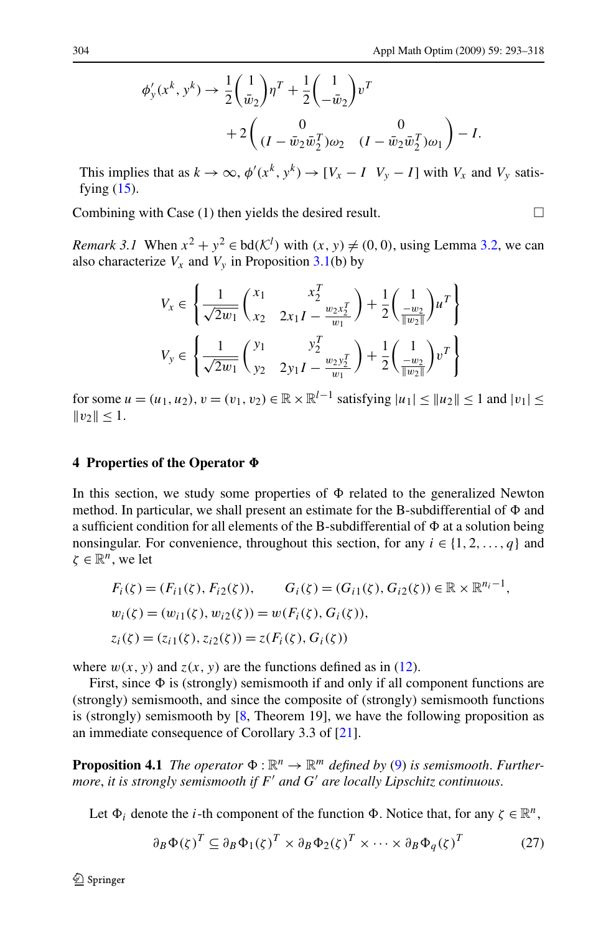<span id="page-11-0"></span>
$$
\phi'_{y}(x^{k}, y^{k}) \rightarrow \frac{1}{2} \left(\frac{1}{\bar{w}_{2}}\right) \eta^{T} + \frac{1}{2} \left(\frac{1}{-\bar{w}_{2}}\right) v^{T}
$$

$$
+ 2 \left(\frac{0}{(I - \bar{w}_{2}\bar{w}_{2}^{T})\omega_{2}} \left(I - \bar{w}_{2}\bar{w}_{2}^{T}\right)\omega_{1}\right) - I.
$$

This implies that as  $k \to \infty$ ,  $\phi'(x^k, y^k) \to [V_x - I \ V_y - I]$  with  $V_x$  and  $V_y$  satisfying  $(15)$  $(15)$ .

Combining with Case (1) then yields the desired result.  $\Box$ 

*Remark 3.1* When  $x^2 + y^2 \in bd(\mathcal{K}^l)$  with  $(x, y) \neq (0, 0)$ , using Lemma [3.2](#page-6-0), we can also characterize  $V_x$  and  $V_y$  in Proposition [3.1\(](#page-7-0)b) by

$$
V_x \in \left\{ \frac{1}{\sqrt{2w_1}} \begin{pmatrix} x_1 & x_2^T \\ x_2 & 2x_1I - \frac{w_2x_2^T}{w_1} \end{pmatrix} + \frac{1}{2} \begin{pmatrix} 1 \\ -\frac{w_2}{\|w_2\|} \end{pmatrix} u^T \right\}
$$
  

$$
V_y \in \left\{ \frac{1}{\sqrt{2w_1}} \begin{pmatrix} y_1 & y_2^T \\ y_2 & 2y_1I - \frac{w_2y_2^T}{w_1} \end{pmatrix} + \frac{1}{2} \begin{pmatrix} 1 \\ -\frac{w_2}{\|w_2\|} \end{pmatrix} v^T \right\}
$$

for some  $u = (u_1, u_2), v = (v_1, v_2) \in \mathbb{R} \times \mathbb{R}^{l-1}$  satisfying  $|u_1| < |u_2| < 1$  and  $|v_1| <$  $||v_2|| \leq 1.$ 

# **4 Properties of the Operator**  $\Phi$

In this section, we study some properties of  $\Phi$  related to the generalized Newton method. In particular, we shall present an estimate for the B-subdifferential of  $\Phi$  and a sufficient condition for all elements of the B-subdifferential of  $\Phi$  at a solution being nonsingular. For convenience, throughout this section, for any  $i \in \{1, 2, ..., q\}$  and  $\zeta \in \mathbb{R}^n$ , we let

$$
F_i(\zeta) = (F_{i1}(\zeta), F_{i2}(\zeta)), \qquad G_i(\zeta) = (G_{i1}(\zeta), G_{i2}(\zeta)) \in \mathbb{R} \times \mathbb{R}^{n_i - 1},
$$
  
\n
$$
w_i(\zeta) = (w_{i1}(\zeta), w_{i2}(\zeta)) = w(F_i(\zeta), G_i(\zeta)),
$$
  
\n
$$
z_i(\zeta) = (z_{i1}(\zeta), z_{i2}(\zeta)) = z(F_i(\zeta), G_i(\zeta))
$$

where  $w(x, y)$  and  $z(x, y)$  are the functions defined as in ([12\)](#page-5-0).

First, since  $\Phi$  is (strongly) semismooth if and only if all component functions are (strongly) semismooth, and since the composite of (strongly) semismooth functions is (strongly) semismooth by  $[8,$  $[8,$  Theorem 19], we have the following proposition as an immediate consequence of Corollary 3.3 of [\[21](#page-24-0)].

**Proposition 4.1** *The operator*  $\Phi : \mathbb{R}^n \to \mathbb{R}^m$  *defined by* ([9\)](#page-2-0) *is semismooth. Furthermore*, *it is strongly semismooth if F and G are locally Lipschitz continuous*.

Let  $\Phi_i$  denote the *i*-th component of the function  $\Phi$ . Notice that, for any  $\zeta \in \mathbb{R}^n$ ,

$$
\partial_B \Phi(\zeta)^T \subseteq \partial_B \Phi_1(\zeta)^T \times \partial_B \Phi_2(\zeta)^T \times \cdots \times \partial_B \Phi_q(\zeta)^T \tag{27}
$$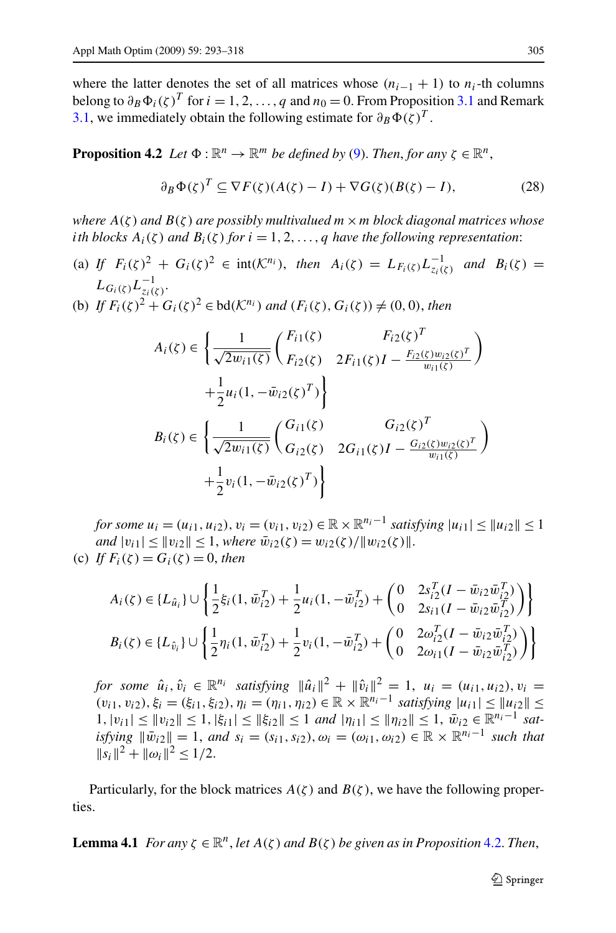<span id="page-12-0"></span>where the latter denotes the set of all matrices whose  $(n_{i-1} + 1)$  to  $n_i$ -th columns belong to  $\partial_B \Phi_i(\zeta)^T$  for  $i = 1, 2, ..., q$  and  $n_0 = 0$ . From Proposition [3.1](#page-7-0) and Remark [3.1](#page-11-0), we immediately obtain the following estimate for  $\partial_B \Phi(\zeta)^T$ .

**Proposition 4.2** *Let*  $\Phi : \mathbb{R}^n \to \mathbb{R}^m$  *be defined by* [\(9](#page-2-0)). *Then, for any*  $\zeta \in \mathbb{R}^n$ *,* 

$$
\partial_B \Phi(\zeta)^T \subseteq \nabla F(\zeta)(A(\zeta) - I) + \nabla G(\zeta)(B(\zeta) - I),\tag{28}
$$

*where A(ζ) and B(ζ) are possibly multivalued m*×*m block diagonal matrices whose ith blocks*  $A_i(\zeta)$  *and*  $B_i(\zeta)$  *for*  $i = 1, 2, \ldots, q$  *have the following representation*:

- (a) *If*  $F_i(\zeta)^2 + G_i(\zeta)^2 \in \text{int}(\mathcal{K}^{n_i})$ , *then*  $A_i(\zeta) = L_{F_i(\zeta)} L_{z_i(\zeta)}^{-1}$  *and*  $B_i(\zeta) =$  $L_{G_i(\zeta)}L_{z_i(\zeta)}^{-1}.$
- (b) *If*  $F_i(\zeta)^2 + G_i(\zeta)^2 \in \text{bd}(\mathcal{K}^{n_i})$  *and*  $(F_i(\zeta), G_i(\zeta)) \neq (0, 0)$ *, then*

$$
A_i(\zeta) \in \left\{ \frac{1}{\sqrt{2w_{i1}(\zeta)}} \begin{pmatrix} F_{i1}(\zeta) & F_{i2}(\zeta)^T \\ F_{i2}(\zeta) & 2F_{i1}(\zeta)I - \frac{F_{i2}(\zeta)w_{i2}(\zeta)^T}{w_{i1}(\zeta)} \end{pmatrix} \right. \\
\left. + \frac{1}{2}u_i(1, -\bar{w}_{i2}(\zeta)^T) \right\}
$$
\n
$$
B_i(\zeta) \in \left\{ \frac{1}{\sqrt{2w_{i1}(\zeta)}} \begin{pmatrix} G_{i1}(\zeta) & G_{i2}(\zeta)^T \\ G_{i2}(\zeta) & 2G_{i1}(\zeta)I - \frac{G_{i2}(\zeta)w_{i2}(\zeta)^T}{w_{i1}(\zeta)} \end{pmatrix} \right. \\
\left. + \frac{1}{2}v_i(1, -\bar{w}_{i2}(\zeta)^T) \right\}
$$

*for some*  $u_i = (u_{i1}, u_{i2}), v_i = (v_{i1}, v_{i2}) \in \mathbb{R} \times \mathbb{R}^{n_i-1}$  *satisfying*  $|u_{i1}| < |u_{i2}| < 1$  $\|u_i\| \leq \|v_i\| \leq 1$ , *where*  $\bar{w}_{i2}(\zeta) = w_{i2}(\zeta)/\|w_{i2}(\zeta)\|$ . (c) *If*  $F_i(\zeta) = G_i(\zeta) = 0$ , *then* 

$$
\begin{aligned} &A_i(\zeta)\in \{L_{\hat{u}_i}\}\cup \left\{\frac{1}{2}\xi_i(1,\bar{w}_{i2}^T)+\frac{1}{2}u_i(1,-\bar{w}_{i2}^T)+\left(\begin{matrix}0&2s_{i2}^T(I-\bar{w}_{i2}\bar{w}_{i2}^T)\\0&2s_{i1}(I-\bar{w}_{i2}\bar{w}_{i2}^T)\end{matrix}\right)\right\}\\ &B_i(\zeta)\in \{L_{\hat{v}_i}\}\cup \left\{\frac{1}{2}\eta_i(1,\bar{w}_{i2}^T)+\frac{1}{2}v_i(1,-\bar{w}_{i2}^T)+\left(\begin{matrix}0&2\omega_{i2}^T(I-\bar{w}_{i2}\bar{w}_{i2}^T)\\0&2\omega_{i1}(I-\bar{w}_{i2}\bar{w}_{i2}^T)\end{matrix}\right)\right\} \end{aligned}
$$

*for some*  $\hat{u}_i, \hat{v}_i \in \mathbb{R}^{n_i}$  *satisfying*  $\|\hat{u}_i\|^2 + \|\hat{v}_i\|^2 = 1$ ,  $u_i = (u_{i1}, u_{i2}), v_i =$  $(v_{i1}, v_{i2}), \xi_i = (\xi_{i1}, \xi_{i2}), \eta_i = (\eta_{i1}, \eta_{i2}) \in \mathbb{R} \times \mathbb{R}^{n_i-1}$  *satisfying*  $|u_{i1}| \leq ||u_{i2}|| \leq$  $1, |v_{i1}| \leq ||v_{i2}|| \leq 1, |\xi_{i1}| \leq ||\xi_{i2}|| \leq 1$  *and*  $|\eta_{i1}| \leq ||\eta_{i2}|| \leq 1, \ \bar{w}_{i2} \in \mathbb{R}^{n_i-1}$  *satisfying*  $\|\bar{w}_{i2}\| = 1$ *, and*  $s_i = (s_{i1}, s_{i2}), \omega_i = (\omega_{i1}, \omega_{i2}) \in \mathbb{R} \times \mathbb{R}^{n_i-1}$  *such that*  $||s_i||^2 + ||\omega_i||^2 < 1/2$ .

Particularly, for the block matrices  $A(\zeta)$  and  $B(\zeta)$ , we have the following properties.

**Lemma 4.1** For any 
$$
\zeta \in \mathbb{R}^n
$$
, let  $A(\zeta)$  and  $B(\zeta)$  be given as in Proposition 4.2. Then,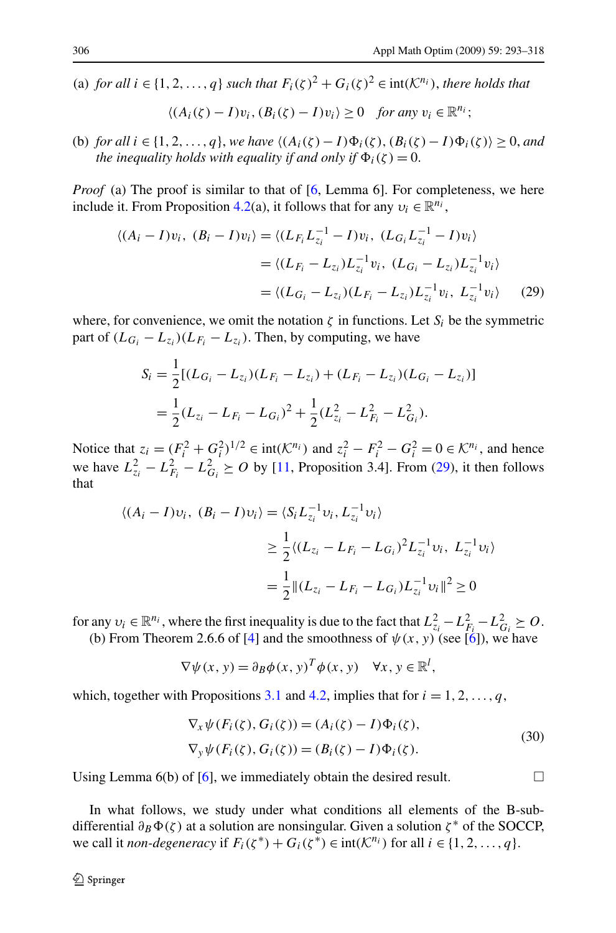(a) *for all*  $i \in \{1, 2, ..., q\}$  *such that*  $F_i(\zeta)^2 + G_i(\zeta)^2 \in \text{int}(\mathcal{K}^{n_i})$ *, there holds that* 

$$
\langle (A_i(\zeta)-I)v_i,(B_i(\zeta)-I)v_i\rangle\geq 0 \quad \text{for any } v_i\in\mathbb{R}^{n_i};
$$

(b) *for all*  $i \in \{1, 2, ..., q\}$ , *we have*  $\langle (A_i(\zeta) - I)\Phi_i(\zeta), (B_i(\zeta) - I)\Phi_i(\zeta) \rangle \geq 0$ , *and the inequality holds with equality if and only if*  $\Phi_i(\zeta) = 0$ .

*Proof* (a) The proof is similar to that of [[6,](#page-24-0) Lemma 6]. For completeness, we here include it. From Proposition [4.2](#page-12-0)(a), it follows that for any  $v_i \in \mathbb{R}^{n_i}$ ,

$$
\langle (A_i - I)v_i, (B_i - I)v_i \rangle = \langle (L_{F_i}L_{z_i}^{-1} - I)v_i, (L_{G_i}L_{z_i}^{-1} - I)v_i \rangle
$$
  

$$
= \langle (L_{F_i} - L_{z_i})L_{z_i}^{-1}v_i, (L_{G_i} - L_{z_i})L_{z_i}^{-1}v_i \rangle
$$
  

$$
= \langle (L_{G_i} - L_{z_i})(L_{F_i} - L_{z_i})L_{z_i}^{-1}v_i, L_{z_i}^{-1}v_i \rangle \qquad (29)
$$

where, for convenience, we omit the notation  $\zeta$  in functions. Let  $S_i$  be the symmetric part of  $(L_{G_i} - L_{z_i})(L_{F_i} - L_{z_i})$ . Then, by computing, we have

$$
S_i = \frac{1}{2}[(L_{G_i} - L_{z_i})(L_{F_i} - L_{z_i}) + (L_{F_i} - L_{z_i})(L_{G_i} - L_{z_i})]
$$
  
= 
$$
\frac{1}{2}(L_{z_i} - L_{F_i} - L_{G_i})^2 + \frac{1}{2}(L_{z_i}^2 - L_{F_i}^2 - L_{G_i}^2).
$$

Notice that  $z_i = (F_i^2 + G_i^2)^{1/2} \in \text{int}(\mathcal{K}^{n_i})$  and  $z_i^2 - F_i^2 - G_i^2 = 0 \in \mathcal{K}^{n_i}$ , and hence we have  $L_{z_i}^2 - L_{F_i}^2 - L_{G_i}^2 \geq 0$  by [\[11](#page-24-0), Proposition 3.4]. From (29), it then follows that

$$
\langle (A_i - I)v_i, (B_i - I)v_i \rangle = \langle S_i L_{z_i}^{-1} v_i, L_{z_i}^{-1} v_i \rangle
$$
  
\n
$$
\geq \frac{1}{2} \langle (L_{z_i} - L_{F_i} - L_{G_i})^2 L_{z_i}^{-1} v_i, L_{z_i}^{-1} v_i \rangle
$$
  
\n
$$
= \frac{1}{2} ||(L_{z_i} - L_{F_i} - L_{G_i}) L_{z_i}^{-1} v_i||^2 \geq 0
$$

for any  $v_i \in \mathbb{R}^{n_i}$ , where the first inequality is due to the fact that  $L_{z_i}^2 - L_{F_i}^2 - L_{G_i}^2 \geq 0$ .

(b) From Theorem 2.6.6 of [[4\]](#page-24-0) and the smoothness of  $\psi(x, y)$  (see [[6\]](#page-24-0)), we have

$$
\nabla \psi(x, y) = \partial_B \phi(x, y)^T \phi(x, y) \quad \forall x, y \in \mathbb{R}^l,
$$

which, together with Propositions [3.1](#page-7-0) and [4.2](#page-12-0), implies that for  $i = 1, 2, \ldots, q$ ,

$$
\nabla_x \psi(F_i(\zeta), G_i(\zeta)) = (A_i(\zeta) - I)\Phi_i(\zeta),
$$
  
\n
$$
\nabla_y \psi(F_i(\zeta), G_i(\zeta)) = (B_i(\zeta) - I)\Phi_i(\zeta).
$$
\n(30)

Using Lemma 6(b) of [\[6](#page-24-0)], we immediately obtain the desired result.  $\Box$ 

In what follows, we study under what conditions all elements of the B-subdifferential  $∂<sub>B</sub>Φ(ζ)$  at a solution are nonsingular. Given a solution *ζ*<sup>\*</sup> of the SOCCP, we call it *non-degeneracy* if  $F_i(\zeta^*) + G_i(\zeta^*) \in \text{int}(\mathcal{K}^{n_i})$  for all  $i \in \{1, 2, ..., q\}$ .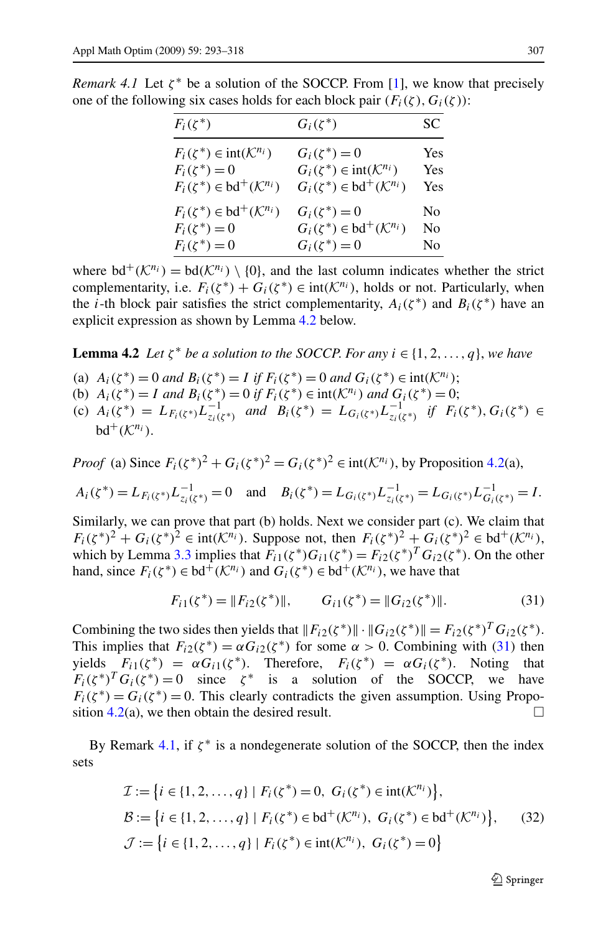| $F_i(\zeta^*)$                                    | $G_i(\zeta^*)$                                      | SС  |
|---------------------------------------------------|-----------------------------------------------------|-----|
| $F_i(\zeta^*) \in \text{int}(\mathcal{K}^{n_i})$  | $G_i(\zeta^*) = 0$                                  | Yes |
| $F_i(\zeta^*)=0$                                  | $G_i(\zeta^*) \in \text{int}(\mathcal{K}^{n_i})$    | Yes |
| $F_i(\zeta^*) \in \text{bd}^+(\mathcal{K}^{n_i})$ | $G_i(\zeta^*) \in \mathrm{bd}^+(\mathcal{K}^{n_i})$ | Yes |
| $F_i(\zeta^*) \in \text{bd}^+(\mathcal{K}^{n_i})$ | $G_i(\zeta^*)=0$                                    | No  |
| $F_i(\zeta^*)=0$                                  | $G_i(\zeta^*) \in \text{bd}^+(\mathcal{K}^{n_i})$   | No  |
| $F_i(\zeta^*)=0$                                  | $G_i(\zeta^*)=0$                                    | No  |

<span id="page-14-0"></span>*Remark 4.1* Let  $\zeta^*$  be a solution of the SOCCP. From [\[1](#page-24-0)], we know that precisely one of the following six cases holds for each block pair  $(F_i(\zeta), G_i(\zeta))$ :

where  $\mathrm{bd}^+(\mathcal{K}^{n_i}) = \mathrm{bd}(\mathcal{K}^{n_i}) \setminus \{0\}$ , and the last column indicates whether the strict complementarity, i.e.  $F_i(\zeta^*) + G_i(\zeta^*) \in \text{int}(\mathcal{K}^{n_i})$ , holds or not. Particularly, when the *i*-th block pair satisfies the strict complementarity,  $A_i(\zeta^*)$  and  $B_i(\zeta^*)$  have an explicit expression as shown by Lemma 4.2 below.

**Lemma 4.2** *Let*  $\zeta^*$  *be a solution to the SOCCP. For any*  $i \in \{1, 2, ..., q\}$ *, we have* 

- (a)  $A_i(\zeta^*) = 0$  and  $B_i(\zeta^*) = I$  if  $F_i(\zeta^*) = 0$  and  $G_i(\zeta^*) \in \text{int}(\mathcal{K}^{n_i})$ ;
- (b)  $A_i(\zeta^*) = I$  *and*  $B_i(\zeta^*) = 0$  *if*  $F_i(\zeta^*) \in \text{int}(\mathcal{K}^{n_i})$  *and*  $G_i(\zeta^*) = 0$ ;
- $A_i(\zeta^*) = L_{F_i(\zeta^*)}L_{z_i(\zeta^*)}^{-1}$  *and*  $B_i(\zeta^*) = L_{G_i(\zeta^*)}L_{z_i(\zeta^*)}^{-1}$  *if*  $F_i(\zeta^*)$ ,  $G_i(\zeta^*) \in$  $bd^+(K^{n_i})$

*Proof* (a) Since  $F_i(\zeta^*)^2 + G_i(\zeta^*)^2 = G_i(\zeta^*)^2 \in \text{int}(\mathcal{K}^{n_i})$ , by Proposition [4.2](#page-12-0)(a),

$$
A_i(\zeta^*) = L_{F_i(\zeta^*)} L_{z_i(\zeta^*)}^{-1} = 0 \quad \text{and} \quad B_i(\zeta^*) = L_{G_i(\zeta^*)} L_{z_i(\zeta^*)}^{-1} = L_{G_i(\zeta^*)} L_{G_i(\zeta^*)}^{-1} = I.
$$

Similarly, we can prove that part (b) holds. Next we consider part (c). We claim that  $F_i(\zeta^*)^2 + G_i(\zeta^*)^2 \in \text{int}(\mathcal{K}^{n_i})$ . Suppose not, then  $F_i(\zeta^*)^2 + G_i(\zeta^*)^2 \in \text{bd}^+(\mathcal{K}^{n_i})$ , which by Lemma [3.3](#page-6-0) implies that  $F_{i1}(\zeta^*)G_{i1}(\zeta^*) = F_{i2}(\zeta^*)^T G_{i2}(\zeta^*)$ . On the other hand, since  $F_i(\zeta^*) \in \text{bd}^+(\mathcal{K}^{n_i})$  and  $G_i(\zeta^*) \in \text{bd}^+(\mathcal{K}^{n_i})$ , we have that

$$
F_{i1}(\zeta^*) = ||F_{i2}(\zeta^*)||, \qquad G_{i1}(\zeta^*) = ||G_{i2}(\zeta^*)||. \tag{31}
$$

Combining the two sides then yields that  $||F_{i2}(\zeta^*)|| \cdot ||G_{i2}(\zeta^*)|| = F_{i2}(\zeta^*)^T G_{i2}(\zeta^*)$ . This implies that  $F_{i2}(\zeta^*) = \alpha G_{i2}(\zeta^*)$  for some  $\alpha > 0$ . Combining with (31) then yields  $F_{i1}(\zeta^*) = \alpha G_{i1}(\zeta^*)$ . Therefore,  $F_i(\zeta^*) = \alpha G_i(\zeta^*)$ . Noting that  $F_i(\zeta^*)^T G_i(\zeta^*) = 0$  since  $\zeta^*$  is a solution of the SOCCP, we have  $F_i(\zeta^*) = G_i(\zeta^*) = 0$ . This clearly contradicts the given assumption. Using Proposition  $4.2(a)$  $4.2(a)$ , we then obtain the desired result.

By Remark 4.1, if  $\zeta^*$  is a nondegenerate solution of the SOCCP, then the index sets

$$
\mathcal{I} := \{i \in \{1, 2, ..., q\} \mid F_i(\zeta^*) = 0, \ G_i(\zeta^*) \in \text{int}(\mathcal{K}^{n_i})\},
$$
\n
$$
\mathcal{B} := \{i \in \{1, 2, ..., q\} \mid F_i(\zeta^*) \in \text{bd}^+(\mathcal{K}^{n_i}), \ G_i(\zeta^*) \in \text{bd}^+(\mathcal{K}^{n_i})\}, \qquad (32)
$$
\n
$$
\mathcal{J} := \{i \in \{1, 2, ..., q\} \mid F_i(\zeta^*) \in \text{int}(\mathcal{K}^{n_i}), \ G_i(\zeta^*) = 0\}
$$

 $\bigcirc$  Springer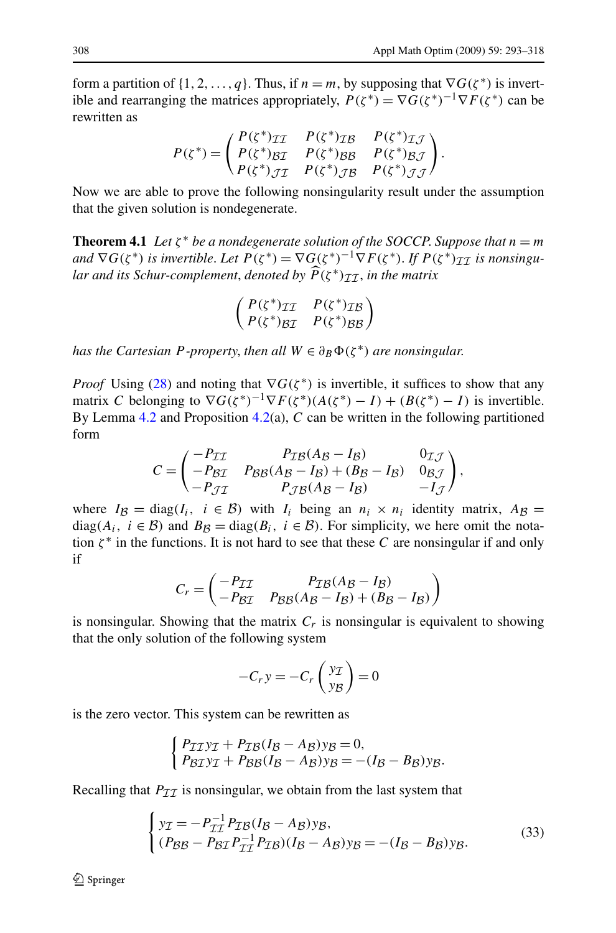<span id="page-15-0"></span>form a partition of  $\{1, 2, ..., q\}$ . Thus, if  $n = m$ , by supposing that  $\nabla G(\zeta^*)$  is invertible and rearranging the matrices appropriately,  $P(\zeta^*) = \nabla G(\zeta^*)^{-1} \nabla F(\zeta^*)$  can be rewritten as

$$
P(\zeta^*) = \begin{pmatrix} P(\zeta^*) \mathcal{I} \mathcal{I} & P(\zeta^*) \mathcal{I} \mathcal{B} & P(\zeta^*) \mathcal{I} \mathcal{J} \\ P(\zeta^*) \mathcal{B} \mathcal{I} & P(\zeta^*) \mathcal{B} \mathcal{B} & P(\zeta^*) \mathcal{B} \mathcal{J} \\ P(\zeta^*) \mathcal{J} \mathcal{I} & P(\zeta^*) \mathcal{J} \mathcal{B} & P(\zeta^*) \mathcal{J} \mathcal{J} \end{pmatrix}.
$$

Now we are able to prove the following nonsingularity result under the assumption that the given solution is nondegenerate.

**Theorem 4.1** *Let*  $\zeta^*$  *be a nondegenerate solution of the SOCCP. Suppose that*  $n = m$ *and*  $\nabla G(\zeta^*)$  *is invertible. Let*  $P(\zeta^*) = \nabla G(\zeta^*)^{-1} \nabla F(\zeta^*)$ . If  $P(\zeta^*)_{T\tau}$  *is nonsingular and its Schur-complement, denoted by*  $\widehat{P}(\zeta^*)_{TT}$ *, in the matrix* 

$$
\begin{pmatrix}\nP(\zeta^*)_{\mathcal{II}} & P(\zeta^*)_{\mathcal{IB}} \\
P(\zeta^*)_{\mathcal{BI}} & P(\zeta^*)_{\mathcal{BB}}\n\end{pmatrix}
$$

*has the Cartesian P-property, then all*  $W \in \partial_B \Phi(\zeta^*)$  *are nonsingular.* 

*Proof* Using [\(28](#page-12-0)) and noting that  $\nabla G(\zeta^*)$  is invertible, it suffices to show that any matrix *C* belonging to  $\nabla G(\zeta^*)^{-1}\nabla F(\zeta^*)(A(\zeta^*)-I)+(B(\zeta^*)-I)$  is invertible. By Lemma [4.2](#page-14-0) and Proposition [4.2\(](#page-12-0)a), *C* can be written in the following partitioned form

$$
C = \begin{pmatrix} -P_{\mathcal{I}\mathcal{I}} & P_{\mathcal{I}\mathcal{B}}(A_{\mathcal{B}} - I_{\mathcal{B}}) & 0_{\mathcal{I}\mathcal{J}} \\ -P_{\mathcal{B}\mathcal{I}} & P_{\mathcal{B}\mathcal{B}}(A_{\mathcal{B}} - I_{\mathcal{B}}) + (B_{\mathcal{B}} - I_{\mathcal{B}}) & 0_{\mathcal{B}\mathcal{J}} \\ -P_{\mathcal{J}\mathcal{I}} & P_{\mathcal{J}\mathcal{B}}(A_{\mathcal{B}} - I_{\mathcal{B}}) & -I_{\mathcal{J}} \end{pmatrix},
$$

where  $I_{\mathcal{B}} = \text{diag}(I_i, i \in \mathcal{B})$  with  $I_i$  being an  $n_i \times n_i$  identity matrix,  $A_{\mathcal{B}} =$ diag( $A_i$ ,  $i \in \mathcal{B}$ ) and  $B_{\mathcal{B}} = \text{diag}(B_i, i \in \mathcal{B})$ . For simplicity, we here omit the notation  $\zeta^*$  in the functions. It is not hard to see that these C are nonsingular if and only if

$$
C_r = \begin{pmatrix} -P_{\mathcal{I}\mathcal{I}} & P_{\mathcal{I}\mathcal{B}}(A_{\mathcal{B}} - I_{\mathcal{B}}) \\ -P_{\mathcal{B}\mathcal{I}} & P_{\mathcal{B}\mathcal{B}}(A_{\mathcal{B}} - I_{\mathcal{B}}) + (B_{\mathcal{B}} - I_{\mathcal{B}}) \end{pmatrix}
$$

is nonsingular. Showing that the matrix *Cr* is nonsingular is equivalent to showing that the only solution of the following system

$$
-C_r y = -C_r \begin{pmatrix} y_{\mathcal{I}} \\ y_{\mathcal{B}} \end{pmatrix} = 0
$$

is the zero vector. This system can be rewritten as

$$
\begin{cases} P_{\mathcal{I}\mathcal{I}}y_{\mathcal{I}} + P_{\mathcal{I}\mathcal{B}}(I_{\mathcal{B}} - A_{\mathcal{B}})y_{\mathcal{B}} = 0, \\ P_{\mathcal{B}\mathcal{I}}y_{\mathcal{I}} + P_{\mathcal{B}\mathcal{B}}(I_{\mathcal{B}} - A_{\mathcal{B}})y_{\mathcal{B}} = -(I_{\mathcal{B}} - B_{\mathcal{B}})y_{\mathcal{B}}. \end{cases}
$$

Recalling that  $P_{\mathcal{I}\mathcal{I}}$  is nonsingular, we obtain from the last system that

$$
\begin{cases}\ny_{\mathcal{I}} = -P_{\mathcal{I}\mathcal{I}}^{-1} P_{\mathcal{I}\mathcal{B}} (I_{\mathcal{B}} - A_{\mathcal{B}}) y_{\mathcal{B}},\\ (P_{\mathcal{B}\mathcal{B}} - P_{\mathcal{B}\mathcal{I}} P_{\mathcal{I}\mathcal{I}}^{-1} P_{\mathcal{I}\mathcal{B}}) (I_{\mathcal{B}} - A_{\mathcal{B}}) y_{\mathcal{B}} = -(I_{\mathcal{B}} - B_{\mathcal{B}}) y_{\mathcal{B}}.\n\end{cases}
$$
\n(33)

 $\mathcal{D}$  Springer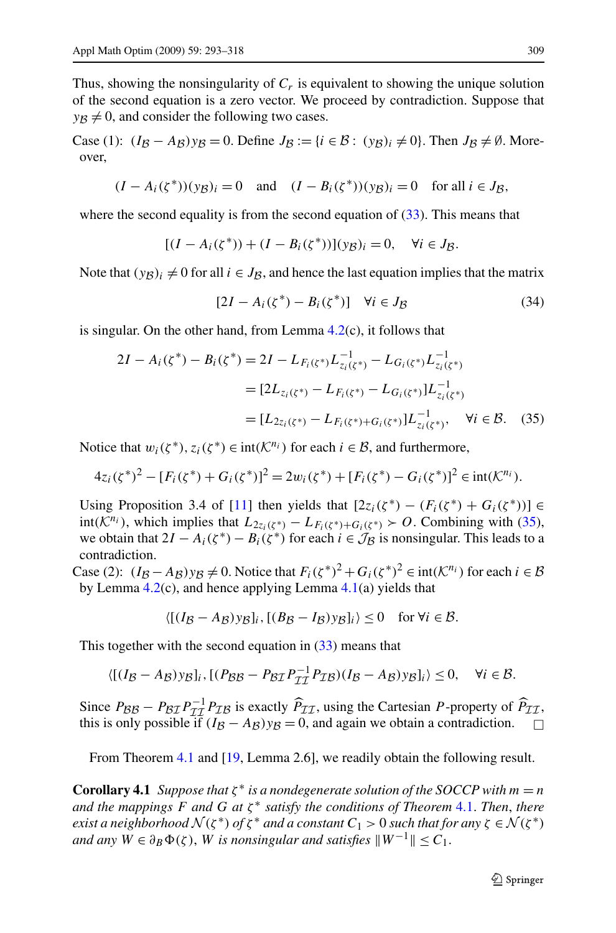<span id="page-16-0"></span>Thus, showing the nonsingularity of  $C_r$  is equivalent to showing the unique solution of the second equation is a zero vector. We proceed by contradiction. Suppose that  $y_B \neq 0$ , and consider the following two cases.

Case (1):  $(I_B - A_B)y_B = 0$ . Define  $J_B := \{i \in B : (yg)_i \neq 0\}$ . Then  $J_B \neq \emptyset$ . Moreover,

$$
(I - A_i(\zeta^*))(y_B)_i = 0
$$
 and  $(I - B_i(\zeta^*))(y_B)_i = 0$  for all  $i \in J_B$ ,

where the second equality is from the second equation of  $(33)$  $(33)$ . This means that

$$
[(I - A_i(\zeta^*)) + (I - B_i(\zeta^*))](y_{\mathcal{B}})_i = 0, \quad \forall i \in J_{\mathcal{B}}.
$$

Note that  $(y_B)_i \neq 0$  for all  $i \in J_B$ , and hence the last equation implies that the matrix

$$
[2I - A_i(\zeta^*) - B_i(\zeta^*)] \quad \forall i \in J_{\mathcal{B}} \tag{34}
$$

is singular. On the other hand, from Lemma  $4.2(c)$  $4.2(c)$ , it follows that

$$
2I - A_i(\zeta^*) - B_i(\zeta^*) = 2I - L_{F_i(\zeta^*)}L_{z_i(\zeta^*)}^{-1} - L_{G_i(\zeta^*)}L_{z_i(\zeta^*)}^{-1}
$$
  
=  $[2L_{z_i(\zeta^*)} - L_{F_i(\zeta^*)} - L_{G_i(\zeta^*)}]L_{z_i(\zeta^*)}^{-1}$   
=  $[L_{2z_i(\zeta^*)} - L_{F_i(\zeta^*)} + G_i(\zeta^*)}]L_{z_i(\zeta^*)}^{-1}, \quad \forall i \in \mathcal{B}.$  (35)

Notice that  $w_i(\zeta^*)$ ,  $z_i(\zeta^*) \in \text{int}(\mathcal{K}^{n_i})$  for each  $i \in \mathcal{B}$ , and furthermore,

$$
4z_i(\zeta^*)^2 - [F_i(\zeta^*) + G_i(\zeta^*)]^2 = 2w_i(\zeta^*) + [F_i(\zeta^*) - G_i(\zeta^*)]^2 \in \text{int}(\mathcal{K}^{n_i}).
$$

Using Proposition 3.4 of [[11\]](#page-24-0) then yields that  $[2z_i(\zeta^*) - (F_i(\zeta^*) + G_i(\zeta^*))] \in$ int( $K^{n_i}$ ), which implies that  $L_{2z_i(\zeta^*)} - L_{F_i(\zeta^*)+G_i(\zeta^*)}$  ≻ O. Combining with (35), we obtain that  $2I - A_i(\zeta^*) - B_i(\zeta^*)$  for each  $i \in \mathcal{J}_\mathcal{B}$  is nonsingular. This leads to a contradiction.

Case (2):  $(I_B - A_B)y_B \neq 0$ . Notice that  $F_i(\zeta^*)^2 + G_i(\zeta^*)^2 \in \text{int}(\mathcal{K}^{n_i})$  for each  $i \in \mathcal{B}$ by Lemma  $4.2(c)$  $4.2(c)$ , and hence applying Lemma  $4.1(a)$  $4.1(a)$  yields that

$$
\langle [(I_{\mathcal{B}} - A_{\mathcal{B}}) y_{\mathcal{B}}]_i, [(B_{\mathcal{B}} - I_{\mathcal{B}}) y_{\mathcal{B}}]_i \rangle \le 0 \quad \text{for } \forall i \in \mathcal{B}.
$$

This together with the second equation in  $(33)$  $(33)$  $(33)$  means that

$$
\langle [(I_{\mathcal{B}}-A_{\mathcal{B}})yg]_i, [(P_{\mathcal{B}\mathcal{B}}-P_{\mathcal{B}\mathcal{I}}P_{\mathcal{II}}^{-1}P_{\mathcal{I}\mathcal{B}})(I_{\mathcal{B}}-A_{\mathcal{B}})yg]_i \rangle \leq 0, \quad \forall i \in \mathcal{B}.
$$

Since  $P_{BB} - P_{BT}P_{TT}^{-1}P_{TB}$  is exactly  $\hat{P}_{TT}$ , using the Cartesian *P*-property of  $\hat{P}_{TT}$ , this is only possible if  $(I_{B} - A_{B})y_B = 0$  and again we obtain a controdiction this is only possible if  $(I_B - A_B)y_B = 0$ , and again we obtain a contradiction.  $□$ 

From Theorem [4.1](#page-15-0) and [\[19](#page-24-0), Lemma 2.6], we readily obtain the following result.

**Corollary 4.1** *Suppose that*  $\zeta^*$  *is a nondegenerate solution of the SOCCP with*  $m = n$ *and the mappings F and G at ζ* <sup>∗</sup> *satisfy the conditions of Theorem* [4.1.](#page-15-0) *Then*, *there exist a neighborhood*  $\mathcal{N}(\zeta^*)$  *of*  $\zeta^*$  *and a constant*  $C_1 > 0$  *such that for any*  $\zeta \in \mathcal{N}(\zeta^*)$ *and any*  $W \in \partial_B \Phi(\zeta)$ , *W is nonsingular and satisfies*  $\|W^{-1}\| \leq C_1$ .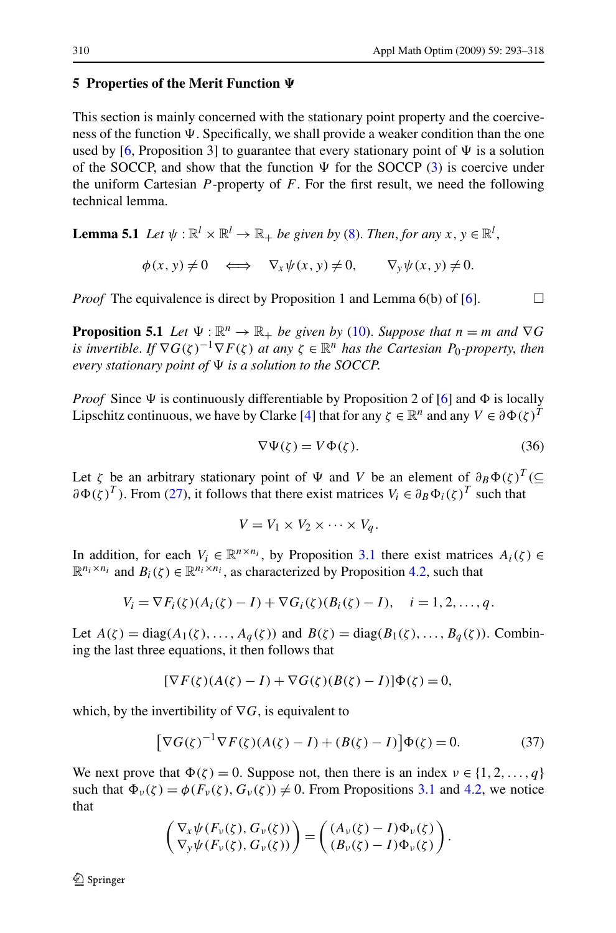# <span id="page-17-0"></span>**5 Properties of the Merit Function**

This section is mainly concerned with the stationary point property and the coerciveness of the function  $\Psi$ . Specifically, we shall provide a weaker condition than the one used by [[6,](#page-24-0) Proposition 3] to guarantee that every stationary point of  $\Psi$  is a solution of the SOCCP, and show that the function  $\Psi$  for the SOCCP ([3\)](#page-1-0) is coercive under the uniform Cartesian *P* -property of *F*. For the first result, we need the following technical lemma.

**Lemma 5.1** *Let*  $\psi$  :  $\mathbb{R}^l \times \mathbb{R}^l \to \mathbb{R}_+$  *be given by* ([8\)](#page-2-0). *Then, for any*  $x, y \in \mathbb{R}^l$ ,

$$
\phi(x, y) \neq 0 \iff \nabla_x \psi(x, y) \neq 0, \qquad \nabla_y \psi(x, y) \neq 0.
$$

*Proof* The equivalence is direct by Proposition 1 and Lemma  $6(b)$  of  $[6]$  $[6]$ .

**Proposition 5.1** *Let*  $\Psi : \mathbb{R}^n \to \mathbb{R}_+$  *be given by* [\(10](#page-2-0)). *Suppose that*  $n = m$  *and*  $\nabla G$ *is invertible. If*  $\nabla G(\zeta)^{-1} \nabla F(\zeta)$  *at any*  $\zeta \in \mathbb{R}^n$  *has the Cartesian P*<sub>0</sub>*-property, then every stationary point of*  $\Psi$  *is a solution to the SOCCP.* 

*Proof* Since  $\Psi$  is continuously differentiable by Proposition 2 of [[6\]](#page-24-0) and  $\Phi$  is locally Lipschitz continuous, we have by Clarke [\[4](#page-24-0)] that for any  $\zeta \in \mathbb{R}^n$  and any  $V \in \partial \Phi(\zeta)^T$ 

$$
\nabla \Psi(\zeta) = V \Phi(\zeta). \tag{36}
$$

Let *ζ* be an arbitrary stationary point of  $\Psi$  and *V* be an element of  $\partial_B \Phi(\zeta)^T$  (⊆  $\partial \Phi(\zeta)^T$ ). From ([27\)](#page-11-0), it follows that there exist matrices  $V_i \in \partial_B \Phi_i(\zeta)^T$  such that

$$
V = V_1 \times V_2 \times \cdots \times V_q.
$$

In addition, for each  $V_i \in \mathbb{R}^{n \times n_i}$ , by Proposition [3.1](#page-7-0) there exist matrices  $A_i(\zeta) \in$  $\mathbb{R}^{n_i \times n_i}$  and  $B_i(\zeta) \in \mathbb{R}^{n_i \times n_i}$ , as characterized by Proposition [4.2](#page-12-0), such that

$$
V_i = \nabla F_i(\zeta) (A_i(\zeta) - I) + \nabla G_i(\zeta) (B_i(\zeta) - I), \quad i = 1, 2, ..., q.
$$

Let  $A(\zeta) = \text{diag}(A_1(\zeta),...,A_q(\zeta))$  and  $B(\zeta) = \text{diag}(B_1(\zeta),...,B_q(\zeta))$ . Combining the last three equations, it then follows that

$$
[\nabla F(\zeta)(A(\zeta) - I) + \nabla G(\zeta)(B(\zeta) - I)]\Phi(\zeta) = 0,
$$

which, by the invertibility of  $\nabla G$ , is equivalent to

$$
\left[\nabla G(\zeta)^{-1}\nabla F(\zeta)(A(\zeta) - I) + (B(\zeta) - I)\right]\Phi(\zeta) = 0.
$$
\n(37)

We next prove that  $\Phi(\zeta) = 0$ . Suppose not, then there is an index  $\nu \in \{1, 2, ..., q\}$ such that  $\Phi_{\nu}(\zeta) = \phi(F_{\nu}(\zeta), G_{\nu}(\zeta)) \neq 0$ . From Propositions [3.1](#page-7-0) and [4.2,](#page-12-0) we notice that

$$
\begin{pmatrix} \nabla_x \psi(F_v(\zeta), G_v(\zeta)) \\ \nabla_y \psi(F_v(\zeta), G_v(\zeta)) \end{pmatrix} = \begin{pmatrix} (A_v(\zeta) - I) \Phi_v(\zeta) \\ (B_v(\zeta) - I) \Phi_v(\zeta) \end{pmatrix}.
$$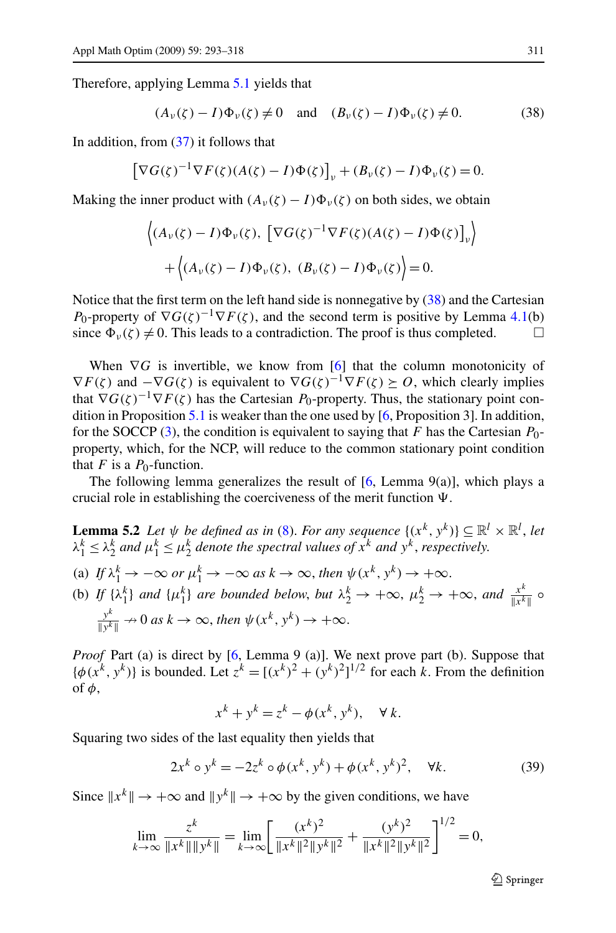<span id="page-18-0"></span>Therefore, applying Lemma [5.1](#page-17-0) yields that

$$
(A_{\nu}(\zeta) - I)\Phi_{\nu}(\zeta) \neq 0 \quad \text{and} \quad (B_{\nu}(\zeta) - I)\Phi_{\nu}(\zeta) \neq 0. \tag{38}
$$

In addition, from [\(37](#page-17-0)) it follows that

$$
\left[\nabla G(\zeta)^{-1}\nabla F(\zeta)(A(\zeta)-I)\Phi(\zeta)\right]_{\nu} + (B_{\nu}(\zeta)-I)\Phi_{\nu}(\zeta) = 0.
$$

Making the inner product with  $(A_v(\zeta) - I)\Phi_v(\zeta)$  on both sides, we obtain

$$
\langle (A_{\nu}(\zeta) - I)\Phi_{\nu}(\zeta), \left[ \nabla G(\zeta)^{-1} \nabla F(\zeta) (A(\zeta) - I)\Phi(\zeta) \right]_{\nu} \rangle
$$
  
+ 
$$
\langle (A_{\nu}(\zeta) - I)\Phi_{\nu}(\zeta), (B_{\nu}(\zeta) - I)\Phi_{\nu}(\zeta) \rangle = 0.
$$

Notice that the first term on the left hand side is nonnegative by (38) and the Cartesian *P*<sub>0</sub>-property of  $\nabla G(\zeta)^{-1} \nabla F(\zeta)$ , and the second term is positive by Lemma [4.1\(](#page-12-0)b) since  $\Phi_{\nu}(\zeta) \neq 0$ . This leads to a contradiction. The proof is thus completed.  $\square$ 

When  $\nabla G$  is invertible, we know from [[6\]](#page-24-0) that the column monotonicity of  $\nabla F(\zeta)$  and  $-\nabla G(\zeta)$  is equivalent to  $\nabla G(\zeta)^{-1}\nabla F(\zeta) \succeq 0$ , which clearly implies that  $\nabla G(\zeta)^{-1}\nabla F(\zeta)$  has the Cartesian *P*<sub>0</sub>-property. Thus, the stationary point condition in Proposition [5.1](#page-17-0) is weaker than the one used by [\[6](#page-24-0), Proposition 3]. In addition, for the SOCCP ([3\)](#page-1-0), the condition is equivalent to saying that *F* has the Cartesian *P*0 property, which, for the NCP, will reduce to the common stationary point condition that  $F$  is a  $P_0$ -function.

The following lemma generalizes the result of  $[6,$  $[6,$  Lemma  $9(a)$ ], which plays a crucial role in establishing the coerciveness of the merit function  $\Psi$ .

**Lemma 5.2** *Let*  $\psi$  *be defined as in* [\(8](#page-2-0)). *For any sequence*  $\{(x^k, y^k)\} \subseteq \mathbb{R}^l \times \mathbb{R}^l$ , *let*  $\lambda_1^k \leq \lambda_2^k$  and  $\mu_1^k \leq \mu_2^k$  denote the spectral values of  $x^k$  and  $y^k$ , respectively. (a) If  $\lambda_1^k \to -\infty$  or  $\mu_1^k \to -\infty$  as  $k \to \infty$ , then  $\psi(x^k, y^k) \to +\infty$ . (b) *If*  $\{\lambda_1^k\}$  *and*  $\{\mu_1^k\}$  *are bounded below, but*  $\lambda_2^k \to +\infty$ ,  $\mu_2^k \to +\infty$ , *and*  $\frac{x^k}{\|x^k\|}$   $\circ$  $\frac{y^k}{\|y^k\|} \to 0$  as  $k \to \infty$ , then  $\psi(x^k, y^k) \to +\infty$ .

*Proof* Part (a) is direct by [\[6](#page-24-0), Lemma 9 (a)]. We next prove part (b). Suppose that  $\{\phi(x^k, y^k)\}\$ is bounded. Let  $z^k = [(x^k)^2 + (y^k)^2]^{1/2}$  for each *k*. From the definition of *φ*,

$$
x^k + y^k = z^k - \phi(x^k, y^k), \quad \forall k.
$$

Squaring two sides of the last equality then yields that

$$
2x^{k} \circ y^{k} = -2z^{k} \circ \phi(x^{k}, y^{k}) + \phi(x^{k}, y^{k})^{2}, \quad \forall k.
$$
 (39)

Since  $\|x^k\| \to +\infty$  and  $\|y^k\| \to +\infty$  by the given conditions, we have

$$
\lim_{k \to \infty} \frac{z^k}{\|x^k\| \|y^k\|} = \lim_{k \to \infty} \left[ \frac{(x^k)^2}{\|x^k\|^2 \|y^k\|^2} + \frac{(y^k)^2}{\|x^k\|^2 \|y^k\|^2} \right]^{1/2} = 0,
$$

 $\bigcirc$  Springer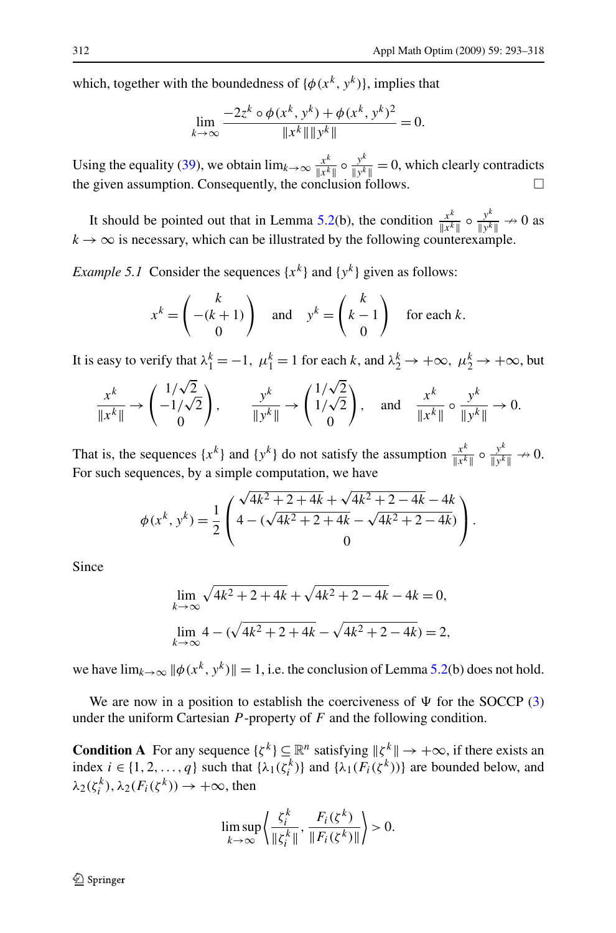<span id="page-19-0"></span>which, together with the boundedness of  $\{\phi(x^k, y^k)\}\)$ , implies that

$$
\lim_{k \to \infty} \frac{-2z^k \circ \phi(x^k, y^k) + \phi(x^k, y^k)^2}{\|x^k\| \|y^k\|} = 0.
$$

Using the equality ([39\)](#page-18-0), we obtain  $\lim_{k\to\infty} \frac{x^k}{\|x^k\|} \circ \frac{y^k}{\|y^k\|} = 0$ , which clearly contradicts the given assumption. Consequently, the conclusion follows.  $\Box$ 

It should be pointed out that in Lemma [5.2\(](#page-18-0)b), the condition  $\frac{x^k}{\|x^k\|} \circ \frac{y^k}{\|y^k\|} \to 0$  as  $k \to \infty$  is necessary, which can be illustrated by the following counterexample.

*Example 5.1* Consider the sequences  $\{x^k\}$  and  $\{y^k\}$  given as follows:

$$
x^{k} = \begin{pmatrix} k \\ -(k+1) \\ 0 \end{pmatrix} \text{ and } y^{k} = \begin{pmatrix} k \\ k-1 \\ 0 \end{pmatrix} \text{ for each } k.
$$

It is easy to verify that  $\lambda_1^k = -1$ ,  $\mu_1^k = 1$  for each *k*, and  $\lambda_2^k \to +\infty$ ,  $\mu_2^k \to +\infty$ , but

$$
\frac{x^k}{\|x^k\|} \to \begin{pmatrix} 1/\sqrt{2} \\ -1/\sqrt{2} \\ 0 \end{pmatrix}, \qquad \frac{y^k}{\|y^k\|} \to \begin{pmatrix} 1/\sqrt{2} \\ 1/\sqrt{2} \\ 0 \end{pmatrix}, \quad \text{and} \quad \frac{x^k}{\|x^k\|} \circ \frac{y^k}{\|y^k\|} \to 0.
$$

That is, the sequences  $\{x^k\}$  and  $\{y^k\}$  do not satisfy the assumption  $\frac{x^k}{\|x^k\|} \circ \frac{y^k}{\|y^k\|} \to 0$ . For such sequences, by a simple computation, we have

$$
\phi(x^{k}, y^{k}) = \frac{1}{2} \begin{pmatrix} \sqrt{4k^2 + 2 + 4k} + \sqrt{4k^2 + 2 - 4k} - 4k \\ 4 - (\sqrt{4k^2 + 2 + 4k} - \sqrt{4k^2 + 2 - 4k}) \\ 0 \end{pmatrix}.
$$

Since

$$
\lim_{k \to \infty} \sqrt{4k^2 + 2 + 4k} + \sqrt{4k^2 + 2 - 4k} - 4k = 0,
$$
  

$$
\lim_{k \to \infty} 4 - (\sqrt{4k^2 + 2 + 4k} - \sqrt{4k^2 + 2 - 4k}) = 2,
$$

we have  $\lim_{k\to\infty} ||\phi(x^k, y^k)|| = 1$ , i.e. the conclusion of Lemma [5.2\(](#page-18-0)b) does not hold.

We are now in a position to establish the coerciveness of  $\Psi$  for the SOCCP [\(3](#page-1-0)) under the uniform Cartesian  $P$ -property of  $F$  and the following condition.

**Condition A** For any sequence  $\{\zeta^k\} \subseteq \mathbb{R}^n$  satisfying  $\|\zeta^k\| \to +\infty$ , if there exists an index  $i \in \{1, 2, ..., q\}$  such that  $\{\lambda_1(\zeta_i^k)\}$  and  $\{\lambda_1(F_i(\zeta_i^k))\}$  are bounded below, and  $\lambda_2(\zeta_i^k), \lambda_2(F_i(\zeta^k)) \to +\infty$ , then

$$
\limsup_{k \to \infty} \left\langle \frac{\zeta_i^k}{\|\zeta_i^k\|}, \frac{F_i(\zeta^k)}{\|F_i(\zeta^k)\|} \right\rangle > 0.
$$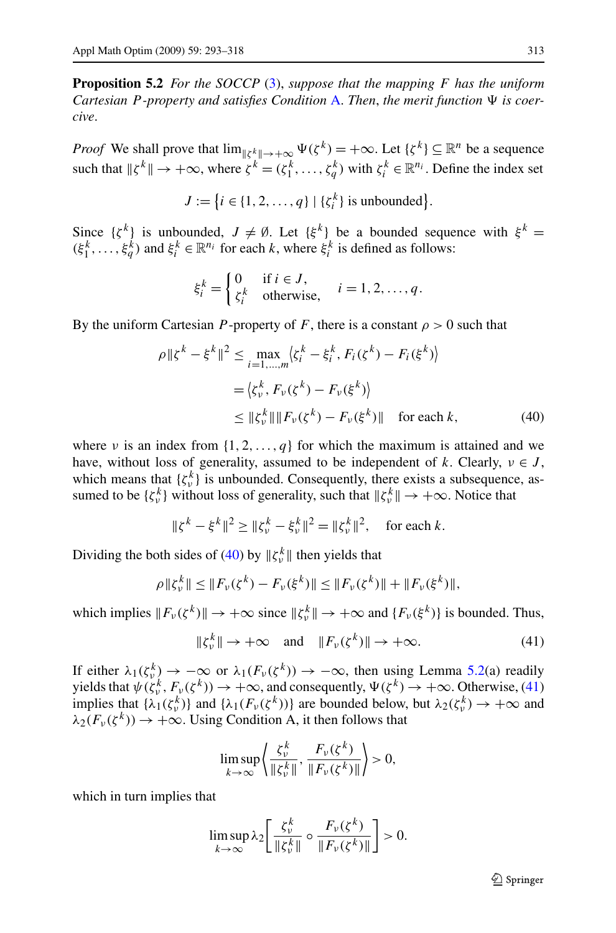<span id="page-20-0"></span>**Proposition 5.2** *For the SOCCP* [\(3](#page-1-0)), *suppose that the mapping F has the uniform Cartesian P -property and satisfies Condition* [A](#page-19-0). *Then*, *the merit function is coercive*.

*Proof* We shall prove that  $\lim_{k \to \infty} \Psi(\zeta^k) = +\infty$ . Let  $\{\zeta^k\} \subseteq \mathbb{R}^n$  be a sequence such that  $\|\zeta^k\| \to +\infty$ , where  $\zeta^k = (\zeta_1^k, \ldots, \zeta_q^k)$  with  $\zeta_i^k \in \mathbb{R}^{n_i}$ . Define the index set

$$
J := \{i \in \{1, 2, \ldots, q\} \mid \{\zeta_i^k\} \text{ is unbounded}\}.
$$

Since  $\{\zeta^k\}$  is unbounded,  $J \neq \emptyset$ . Let  $\{\xi^k\}$  be a bounded sequence with  $\xi^k =$  $(\xi_1^k, \ldots, \xi_q^k)$  and  $\xi_i^k \in \mathbb{R}^{n_i}$  for each *k*, where  $\xi_i^k$  is defined as follows:

$$
\xi_i^k = \begin{cases} 0 & \text{if } i \in J, \\ \zeta_i^k & \text{otherwise,} \end{cases} \quad i = 1, 2, \dots, q.
$$

By the uniform Cartesian *P*-property of *F*, there is a constant  $\rho > 0$  such that

$$
\rho \| \xi^{k} - \xi^{k} \|^{2} \leq \max_{i=1,...,m} \langle \xi_{i}^{k} - \xi_{i}^{k}, F_{i}(\xi^{k}) - F_{i}(\xi^{k}) \rangle
$$
  
=  $\langle \xi_{\nu}^{k}, F_{\nu}(\xi^{k}) - F_{\nu}(\xi^{k}) \rangle$   
 $\leq \| \xi_{\nu}^{k} \| \| F_{\nu}(\xi^{k}) - F_{\nu}(\xi^{k}) \| \text{ for each } k,$  (40)

where *ν* is an index from  $\{1, 2, \ldots, q\}$  for which the maximum is attained and we have, without loss of generality, assumed to be independent of *k*. Clearly,  $v \in J$ , which means that  $\{\zeta_v^k\}$  is unbounded. Consequently, there exists a subsequence, assumed to be  $\{\zeta_v^k\}$  without loss of generality, such that  $\|\zeta_v^k\| \to +\infty$ . Notice that

$$
\|\xi^k - \xi^k\|^2 \ge \|\xi^k_\nu - \xi^k_\nu\|^2 = \|\xi^k_\nu\|^2, \quad \text{for each } k.
$$

Dividing the both sides of (40) by  $\|\zeta_v^k\|$  then yields that

$$
\rho \| \zeta_{\nu}^{k} \| \leq \| F_{\nu}(\zeta^{k}) - F_{\nu}(\xi^{k}) \| \leq \| F_{\nu}(\zeta^{k}) \| + \| F_{\nu}(\xi^{k}) \|,
$$

which implies  $||F_v(\zeta^k)|| \to +\infty$  since  $||\zeta_v^k|| \to +\infty$  and  $\{F_v(\xi^k)\}\$ is bounded. Thus,

$$
\|\zeta_v^k\| \to +\infty \quad \text{and} \quad \|F_v(\zeta^k)\| \to +\infty. \tag{41}
$$

If either  $\lambda_1(\zeta_v^k) \to -\infty$  or  $\lambda_1(F_v(\zeta^k)) \to -\infty$ , then using Lemma [5.2\(](#page-18-0)a) readily yields that  $\psi(\zeta_v^k, F_v(\zeta^k)) \to +\infty$ , and consequently,  $\Psi(\zeta^k) \to +\infty$ . Otherwise, (41) implies that  $\{\lambda_1(\zeta_v^k)\}\$  and  $\{\lambda_1(F_v(\zeta^k))\}\$  are bounded below, but  $\lambda_2(\zeta_v^k) \to +\infty$  and  $\lambda_2(F_v(\zeta^k)) \to +\infty$ . Using Condition A, it then follows that

$$
\limsup_{k \to \infty} \left\langle \frac{\zeta_v^k}{\| \zeta_v^k \|}, \frac{F_v(\zeta^k)}{\| F_v(\zeta^k) \|} \right\rangle > 0,
$$

which in turn implies that

$$
\limsup_{k\to\infty}\lambda_2\bigg[\frac{\zeta_v^k}{\| \zeta_v^k\|}\circ\frac{F_v(\zeta^k)}{\| F_v(\zeta^k)\|}\bigg]>0.
$$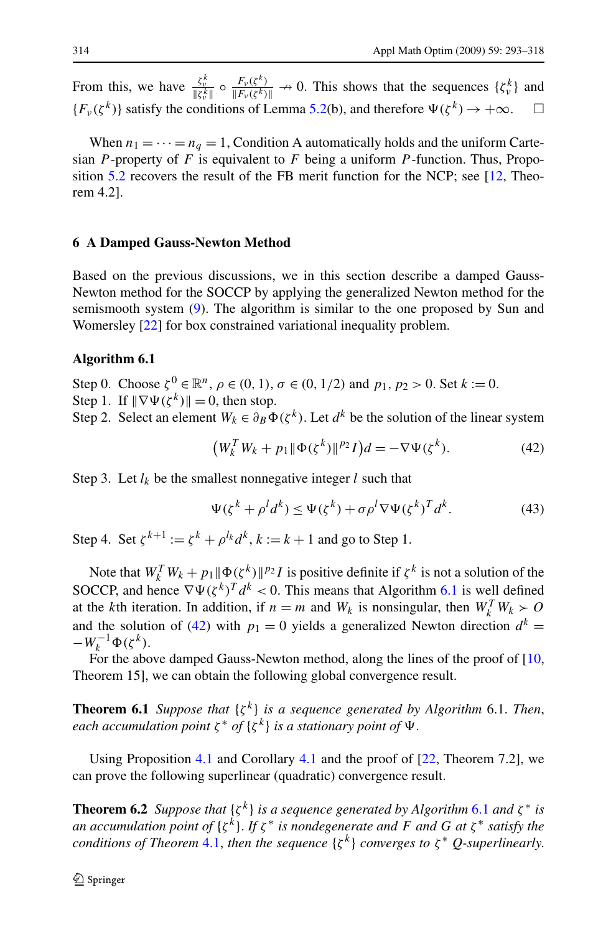<span id="page-21-0"></span>From this, we have  $\frac{\zeta_v^k}{\|\zeta_v^k\|} \circ \frac{F_v(\zeta^k)}{\|F_v(\zeta^k)\|} \to 0$ . This shows that the sequences  $\{\zeta_v^k\}$  and  ${F_{\nu}(\zeta^k)}$  satisfy the conditions of Lemma [5.2](#page-18-0)(b), and therefore  $\Psi(\zeta^k) \to +\infty$ .  $\Box$ 

When  $n_1 = \cdots = n_q = 1$ , Condition A automatically holds and the uniform Cartesian *P* -property of *F* is equivalent to *F* being a uniform *P* -function. Thus, Proposition [5.2](#page-20-0) recovers the result of the FB merit function for the NCP; see [\[12,](#page-24-0) Theorem 4.2].

#### **6 A Damped Gauss-Newton Method**

Based on the previous discussions, we in this section describe a damped Gauss-Newton method for the SOCCP by applying the generalized Newton method for the semismooth system [\(9](#page-2-0)). The algorithm is similar to the one proposed by Sun and Womersley [[22\]](#page-24-0) for box constrained variational inequality problem.

#### **Algorithm 6.1**

Step 0. Choose  $\zeta^{0} \in \mathbb{R}^{n}$ ,  $\rho \in (0, 1), \sigma \in (0, 1/2)$  and  $p_1, p_2 > 0$ . Set  $k := 0$ . Step 1. If  $\|\nabla \Psi(\zeta^k)\| = 0$ , then stop.

Step 2. Select an element  $W_k \in \partial_B \mathbf{\Phi}(\zeta^k)$ . Let  $d^k$  be the solution of the linear system

$$
(W_k^T W_k + p_1 \|\Phi(\zeta^k)\|^{p_2} I)d = -\nabla \Psi(\zeta^k). \tag{42}
$$

Step 3. Let  $l_k$  be the smallest nonnegative integer  $l$  such that

$$
\Psi(\zeta^k + \rho^l d^k) \le \Psi(\zeta^k) + \sigma \rho^l \nabla \Psi(\zeta^k)^T d^k. \tag{43}
$$

Step 4. Set  $\zeta^{k+1} := \zeta^k + \rho^{l_k} d^k$ ,  $k := k+1$  and go to Step 1.

Note that  $W_k^T W_k + p_1 \|\Phi(\zeta^k)\|^{p_2} I$  is positive definite if  $\zeta^k$  is not a solution of the SOCCP, and hence  $\nabla \Psi(\zeta^k)^T d^k < 0$ . This means that Algorithm 6.1 is well defined at the *k*th iteration. In addition, if  $n = m$  and  $W_k$  is nonsingular, then  $W_k^T W_k > 0$ and the solution of (42) with  $p_1 = 0$  yields a generalized Newton direction  $d^k =$  $-W_k^{-1}\Phi(\zeta^k).$ 

For the above damped Gauss-Newton method, along the lines of the proof of  $[10, 10]$  $[10, 10]$ Theorem 15], we can obtain the following global convergence result.

**Theorem 6.1** *Suppose that*  $\{\zeta^k\}$  *is a sequence generated by Algorithm* 6.1. *Then*, *each accumulation point*  $\zeta^*$  *of*  $\{\zeta^k\}$  *is a stationary point of*  $\Psi$ .

Using Proposition [4.1](#page-11-0) and Corollary [4.1](#page-16-0) and the proof of [\[22](#page-24-0), Theorem 7.2], we can prove the following superlinear (quadratic) convergence result.

**Theorem 6.2** *Suppose that*  $\{\zeta^k\}$  *is a sequence generated by Algorithm* 6.1 *and*  $\zeta^*$  *is an accumulation point of* {*ζ <sup>k</sup>*}. *If ζ* <sup>∗</sup> *is nondegenerate and F and G at ζ* <sup>∗</sup> *satisfy the conditions of Theorem* [4.1](#page-15-0), *then the sequence*  $\{\zeta^k\}$  *converges to*  $\zeta^*$  *Q-superlinearly.*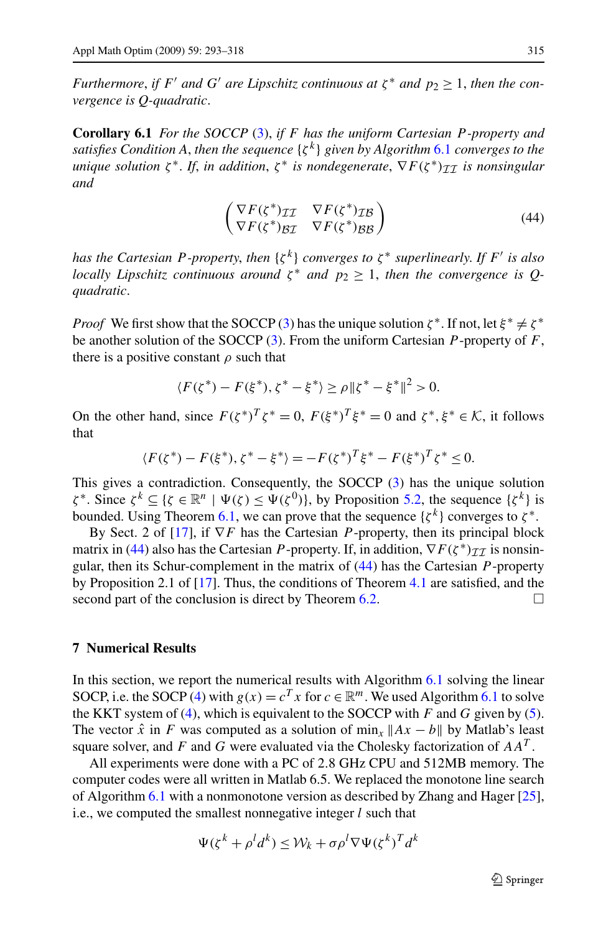*Furthermore, if*  $F'$  *and*  $G'$  *are Lipschitz continuous at*  $\zeta^*$  *and*  $p_2 > 1$ *, then the convergence is Q-quadratic*.

**Corollary 6.1** *For the SOCCP* [\(3](#page-1-0)), *if F has the uniform Cartesian P -property and satisfies Condition A*, *then the sequence* {*ζ <sup>k</sup>*} *given by Algorithm* [6.1](#page-21-0) *converges to the unique solution*  $\zeta^*$ . *If, in addition,*  $\zeta^*$  *is nondegenerate,*  $\nabla F(\zeta^*)_{TT}$  *is nonsingular and*

$$
\begin{pmatrix}\nabla F(\zeta^*)_{\mathcal{I}\mathcal{I}} & \nabla F(\zeta^*)_{\mathcal{I}\mathcal{B}} \\
\nabla F(\zeta^*)_{\mathcal{B}\mathcal{I}} & \nabla F(\zeta^*)_{\mathcal{B}\mathcal{B}}\n\end{pmatrix}
$$
\n(44)

*has the Cartesian P-property, then*  $\{\zeta^k\}$  *converges to*  $\zeta^*$  *superlinearly. If*  $F'$  *is also locally Lipschitz continuous around*  $\zeta^*$  *and*  $p_2 \geq 1$ *, then the convergence is Qquadratic*.

*Proof* We first show that the SOCCP ([3\)](#page-1-0) has the unique solution  $\zeta^*$ . If not, let  $\xi^* \neq \zeta^*$ be another solution of the SOCCP [\(3](#page-1-0)). From the uniform Cartesian *P* -property of *F*, there is a positive constant  $\rho$  such that

$$
\langle F(\zeta^*) - F(\xi^*), \zeta^* - \xi^* \rangle \ge \rho \| \zeta^* - \xi^* \|^2 > 0.
$$

On the other hand, since  $F(\zeta^*)^T \zeta^* = 0$ ,  $F(\xi^*)^T \xi^* = 0$  and  $\zeta^*, \xi^* \in \mathcal{K}$ , it follows that

$$
\langle F(\zeta^*) - F(\xi^*), \zeta^* - \xi^* \rangle = -F(\zeta^*)^T \xi^* - F(\xi^*)^T \zeta^* \le 0.
$$

This gives a contradiction. Consequently, the SOCCP [\(3](#page-1-0)) has the unique solution *ζ*<sup>\*</sup>. Since *ζ*<sup>*k*</sup> ⊆ {*ζ* ∈  $\mathbb{R}^n$  |  $\Psi$ (*ζ*) ≤  $\Psi$ (*ζ*<sup>0</sup>)}, by Proposition [5.2,](#page-20-0) the sequence {*ζ*<sup>*k*</sup>} is bounded. Using Theorem [6.1](#page-21-0), we can prove that the sequence  $\{\zeta^k\}$  converges to  $\zeta^*$ .

By Sect. 2 of [[17\]](#page-24-0), if ∇*F* has the Cartesian *P* -property, then its principal block matrix in (44) also has the Cartesian *P*-property. If, in addition,  $\nabla F(\zeta^*)_{\mathcal{II}}$  is nonsingular, then its Schur-complement in the matrix of (44) has the Cartesian *P* -property by Proposition 2.1 of [[17\]](#page-24-0). Thus, the conditions of Theorem [4.1](#page-15-0) are satisfied, and the second part of the conclusion is direct by Theorem [6.2.](#page-21-0)  $\Box$ 

# **7 Numerical Results**

In this section, we report the numerical results with Algorithm  $6.1$  solving the linear SOCP, i.e. the SOCP ([4\)](#page-1-0) with  $g(x) = c^T x$  for  $c \in \mathbb{R}^m$ . We used Algorithm [6.1](#page-21-0) to solve the KKT system of [\(4](#page-1-0)), which is equivalent to the SOCCP with *F* and *G* given by ([5\)](#page-1-0). The vector  $\hat{x}$  in *F* was computed as a solution of min<sub>x</sub>  $||Ax - b||$  by Matlab's least square solver, and *F* and *G* were evaluated via the Cholesky factorization of *AAT* .

All experiments were done with a PC of 2*.*8 GHz CPU and 512MB memory. The computer codes were all written in Matlab 6.5. We replaced the monotone line search of Algorithm [6.1](#page-21-0) with a nonmonotone version as described by Zhang and Hager [[25\]](#page-25-0), i.e., we computed the smallest nonnegative integer *l* such that

$$
\Psi(\zeta^k + \rho^l d^k) \le \mathcal{W}_k + \sigma \rho^l \nabla \Psi(\zeta^k)^T d^k
$$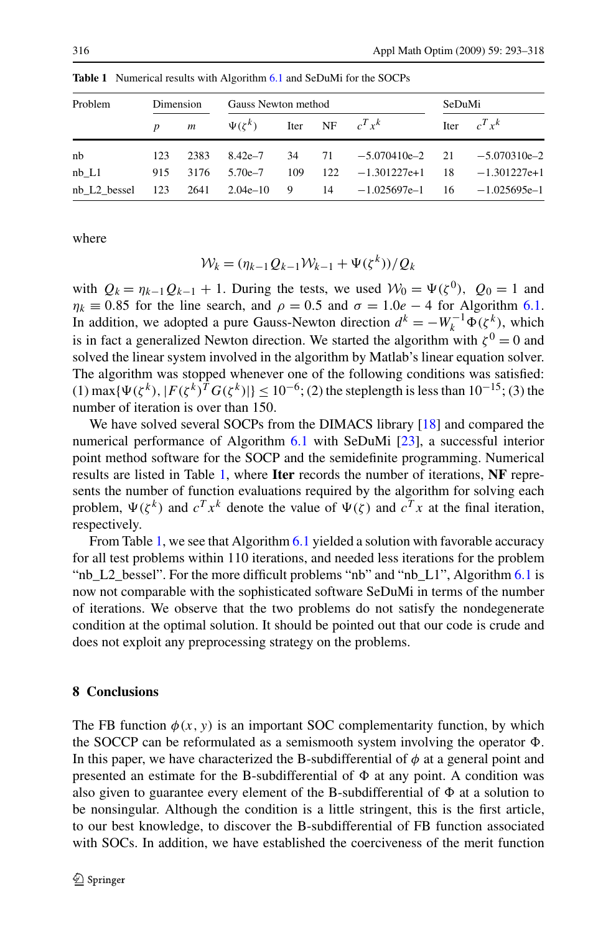| Problem   | Dimension |      | Gauss Newton method                   |  |  |                                                                                | SeDuMi |                |
|-----------|-----------|------|---------------------------------------|--|--|--------------------------------------------------------------------------------|--------|----------------|
|           |           |      | p m $\Psi(\zeta^k)$ Iter NF $c^T x^k$ |  |  |                                                                                |        | Iter $c^T x^k$ |
| nb        | 123       | 2383 |                                       |  |  | $8.42e-7$ $34$ $71$ $-5.070410e-2$ $21$ $-5.070310e-2$                         |        |                |
| $nb$ $L1$ | 915       |      |                                       |  |  | $3176$ $5.70e-7$ $109$ $122$ $-1.301227e+1$ $18$ $-1.301227e+1$                |        |                |
|           |           |      |                                       |  |  | nb L2 bessel $123$ $2641$ $2.04e-10$ 9 $14$ $-1.025697e-1$ $16$ $-1.025695e-1$ |        |                |

**Table 1** Numerical results with Algorithm [6.1](#page-21-0) and SeDuMi for the SOCPs

where

$$
\mathcal{W}_k = (\eta_{k-1} Q_{k-1} \mathcal{W}_{k-1} + \Psi(\zeta^k))/Q_k
$$

with  $Q_k = \eta_{k-1} Q_{k-1} + 1$ . During the tests, we used  $W_0 = \Psi(\zeta^0)$ ,  $Q_0 = 1$  and  $\eta_k \equiv 0.85$  for the line search, and  $\rho = 0.5$  and  $\sigma = 1.0e - 4$  for Algorithm [6.1](#page-21-0). In addition, we adopted a pure Gauss-Newton direction  $d^k = -W_k^{-1} \Phi(\zeta^k)$ , which is in fact a generalized Newton direction. We started the algorithm with  $\zeta^0 = 0$  and solved the linear system involved in the algorithm by Matlab's linear equation solver. The algorithm was stopped whenever one of the following conditions was satisfied: (1) max{ $\Psi(\zeta^k)$ ,  $|F(\zeta^k)^T G(\zeta^k)|$ } < 10<sup>−6</sup>; (2) the steplength is less than 10<sup>−15</sup>; (3) the number of iteration is over than 150.

We have solved several SOCPs from the DIMACS library [\[18](#page-24-0)] and compared the numerical performance of Algorithm [6.1](#page-21-0) with SeDuMi [\[23](#page-24-0)], a successful interior point method software for the SOCP and the semidefinite programming. Numerical results are listed in Table 1, where **Iter** records the number of iterations, **NF** represents the number of function evaluations required by the algorithm for solving each problem,  $\Psi(\zeta^k)$  and  $c^T x^k$  denote the value of  $\Psi(\zeta)$  and  $c^T x$  at the final iteration, respectively.

From Table 1, we see that Algorithm [6.1](#page-21-0) yielded a solution with favorable accuracy for all test problems within 110 iterations, and needed less iterations for the problem "nb\_L2\_bessel". For the more difficult problems "nb" and "nb\_L1", Algorithm [6.1](#page-21-0) is now not comparable with the sophisticated software SeDuMi in terms of the number of iterations. We observe that the two problems do not satisfy the nondegenerate condition at the optimal solution. It should be pointed out that our code is crude and does not exploit any preprocessing strategy on the problems.

### **8 Conclusions**

The FB function  $\phi(x, y)$  is an important SOC complementarity function, by which the SOCCP can be reformulated as a semismooth system involving the operator  $\Phi$ . In this paper, we have characterized the B-subdifferential of  $\phi$  at a general point and presented an estimate for the B-subdifferential of  $\Phi$  at any point. A condition was also given to guarantee every element of the B-subdifferential of  $\Phi$  at a solution to be nonsingular. Although the condition is a little stringent, this is the first article, to our best knowledge, to discover the B-subdifferential of FB function associated with SOCs. In addition, we have established the coerciveness of the merit function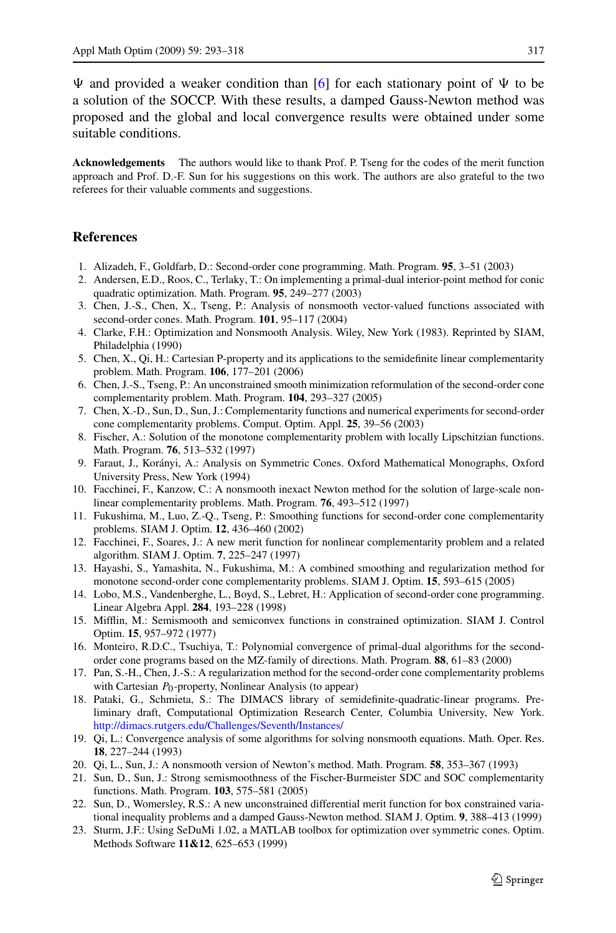<span id="page-24-0"></span> $\Psi$  and provided a weaker condition than [6] for each stationary point of  $\Psi$  to be a solution of the SOCCP. With these results, a damped Gauss-Newton method was proposed and the global and local convergence results were obtained under some suitable conditions.

**Acknowledgements** The authors would like to thank Prof. P. Tseng for the codes of the merit function approach and Prof. D.-F. Sun for his suggestions on this work. The authors are also grateful to the two referees for their valuable comments and suggestions.

# **References**

- 1. Alizadeh, F., Goldfarb, D.: Second-order cone programming. Math. Program. **95**, 3–51 (2003)
- 2. Andersen, E.D., Roos, C., Terlaky, T.: On implementing a primal-dual interior-point method for conic quadratic optimization. Math. Program. **95**, 249–277 (2003)
- 3. Chen, J.-S., Chen, X., Tseng, P.: Analysis of nonsmooth vector-valued functions associated with second-order cones. Math. Program. **101**, 95–117 (2004)
- 4. Clarke, F.H.: Optimization and Nonsmooth Analysis. Wiley, New York (1983). Reprinted by SIAM, Philadelphia (1990)
- 5. Chen, X., Qi, H.: Cartesian P-property and its applications to the semidefinite linear complementarity problem. Math. Program. **106**, 177–201 (2006)
- 6. Chen, J.-S., Tseng, P.: An unconstrained smooth minimization reformulation of the second-order cone complementarity problem. Math. Program. **104**, 293–327 (2005)
- 7. Chen, X.-D., Sun, D., Sun, J.: Complementarity functions and numerical experiments for second-order cone complementarity problems. Comput. Optim. Appl. **25**, 39–56 (2003)
- 8. Fischer, A.: Solution of the monotone complementarity problem with locally Lipschitzian functions. Math. Program. **76**, 513–532 (1997)
- 9. Faraut, J., Korányi, A.: Analysis on Symmetric Cones. Oxford Mathematical Monographs, Oxford University Press, New York (1994)
- 10. Facchinei, F., Kanzow, C.: A nonsmooth inexact Newton method for the solution of large-scale nonlinear complementarity problems. Math. Program. **76**, 493–512 (1997)
- 11. Fukushima, M., Luo, Z.-Q., Tseng, P.: Smoothing functions for second-order cone complementarity problems. SIAM J. Optim. **12**, 436–460 (2002)
- 12. Facchinei, F., Soares, J.: A new merit function for nonlinear complementarity problem and a related algorithm. SIAM J. Optim. **7**, 225–247 (1997)
- 13. Hayashi, S., Yamashita, N., Fukushima, M.: A combined smoothing and regularization method for monotone second-order cone complementarity problems. SIAM J. Optim. **15**, 593–615 (2005)
- 14. Lobo, M.S., Vandenberghe, L., Boyd, S., Lebret, H.: Application of second-order cone programming. Linear Algebra Appl. **284**, 193–228 (1998)
- 15. Mifflin, M.: Semismooth and semiconvex functions in constrained optimization. SIAM J. Control Optim. **15**, 957–972 (1977)
- 16. Monteiro, R.D.C., Tsuchiya, T.: Polynomial convergence of primal-dual algorithms for the secondorder cone programs based on the MZ-family of directions. Math. Program. **88**, 61–83 (2000)
- 17. Pan, S.-H., Chen, J.-S.: A regularization method for the second-order cone complementarity problems with Cartesian *P*<sub>0</sub>-property, Nonlinear Analysis (to appear)
- 18. Pataki, G., Schmieta, S.: The DIMACS library of semidefinite-quadratic-linear programs. Preliminary draft, Computational Optimization Research Center, Columbia University, New York. <http://dimacs.rutgers.edu/Challenges/Seventh/Instances/>
- 19. Qi, L.: Convergence analysis of some algorithms for solving nonsmooth equations. Math. Oper. Res. **18**, 227–244 (1993)
- 20. Qi, L., Sun, J.: A nonsmooth version of Newton's method. Math. Program. **58**, 353–367 (1993)
- 21. Sun, D., Sun, J.: Strong semismoothness of the Fischer-Burmeister SDC and SOC complementarity functions. Math. Program. **103**, 575–581 (2005)
- 22. Sun, D., Womersley, R.S.: A new unconstrained differential merit function for box constrained variational inequality problems and a damped Gauss-Newton method. SIAM J. Optim. **9**, 388–413 (1999)
- 23. Sturm, J.F.: Using SeDuMi 1.02, a MATLAB toolbox for optimization over symmetric cones. Optim. Methods Software **11&12**, 625–653 (1999)